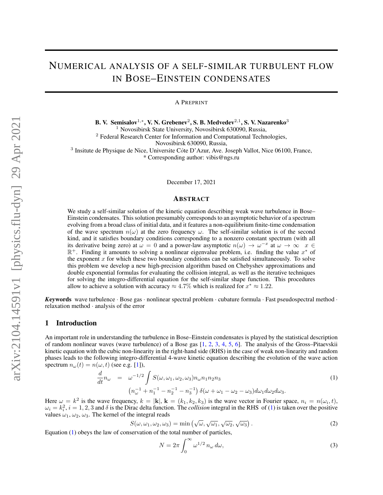# NUMERICAL ANALYSIS OF A SELF-SIMILAR TURBULENT FLOW IN BOSE–EINSTEIN CONDENSATES

A PREPRINT

B. V. Semisalov $^{1,*}$ , V. N. Grebenev $^2$ , S. B. Medvedev $^{2,1}$ , S. V. Nazarenko $^3$ 

<sup>1</sup> Novosibirsk State University, Novosibirsk 630090, Russia,

<sup>2</sup> Federal Research Center for Information and Computational Technologies,

Novosibirsk 630090, Russia,

<sup>3</sup> Insitute de Physique de Nice, Universite Côte D'Azur, Ave. Joseph Vallot, Nice 06100, France, \* Corresponding author: vibis@ngs.ru

December 17, 2021

#### ABSTRACT

We study a self-similar solution of the kinetic equation describing weak wave turbulence in Bose– Einstein condensates. This solution presumably corresponds to an asymptotic behavior of a spectrum evolving from a broad class of initial data, and it features a non-equilibrium finite-time condensation of the wave spectrum  $n(\omega)$  at the zero frequency  $\omega$ . The self-similar solution is of the second kind, and it satisfies boundary conditions corresponding to a nonzero constant spectrum (with all its derivative being zero) at  $\omega = 0$  and a power-law asymptotic  $n(\omega) \to \omega^{-x}$  at  $\omega \to \infty$   $x \in$  $\mathbb{R}^+$ . Finding it amounts to solving a nonlinear eigenvalue problem, i.e. finding the value  $x^*$  of the exponent x for which these two boundary conditions can be satisfied simultaneously. To solve this problem we develop a new high-precision algorithm based on Chebyshev approximations and double exponential formulas for evaluating the collision integral, as well as the iterative techniques for solving the integro-differential equation for the self-similar shape function. This procedures allow to achieve a solution with accuracy  $\approx 4.7\%$  which is realized for  $x^* \approx 1.22$ .

*K*eywords wave turbulence · Bose gas · nonlinear spectral problem · cubature formula · Fast pseudospectral method · relaxation method · analysis of the error

### 1 Introduction

An important role in understanding the turbulence in Bose–Einstein condensates is played by the statistical description of random nonlinear waves (wave turbulence) of a Bose gas [\[1,](#page-24-0) [2,](#page-24-1) [3,](#page-24-2) [4,](#page-24-3) [5,](#page-24-4) [6\]](#page-24-5). The analysis of the Gross–Pitaevskii kinetic equation with the cubic non-linearity in the right-hand side (RHS) in the case of weak non-linearity and random phases leads to the following integro-differential 4-wave kinetic equation describing the evolution of the wave action spectrum  $n_{\omega}(t) = n(\omega, t)$  (see e.g. [\[1\]](#page-24-0)),

<span id="page-0-0"></span>
$$
\frac{d}{dt}n_{\omega} = \omega^{-1/2} \int S(\omega, \omega_1, \omega_2, \omega_3) n_{\omega} n_1 n_2 n_3
$$
\n
$$
(n_{\omega}^{-1} + n_1^{-1} - n_2^{-1} - n_3^{-1}) \delta(\omega + \omega_1 - \omega_2 - \omega_3) d\omega_1 d\omega_2 d\omega_3.
$$
\n(1)

Here  $\omega = k^2$  is the wave frequency,  $k = |\mathbf{k}|$ ,  $\mathbf{k} = (k_1, k_2, k_3)$  is the wave vector in Fourier space,  $n_i = n(\omega_i, t)$ ,  $\omega_i = k_i^2$ ,  $i = 1, 2, 3$  and  $\delta$  is the Dirac delta function. The *collision* integral in the RHS of [\(1\)](#page-0-0) is taken over the positive values  $\omega_1, \omega_2, \omega_3$ . The kernel of the integral reads

$$
S(\omega, \omega_1, \omega_2, \omega_3) = \min(\sqrt{\omega}, \sqrt{\omega_1}, \sqrt{\omega_2}, \sqrt{\omega_3}).
$$
\n(2)

Equation [\(1\)](#page-0-0) obeys the law of conservation of the total number of particles,

$$
N = 2\pi \int_0^\infty \omega^{1/2} n\omega \, d\omega,\tag{3}
$$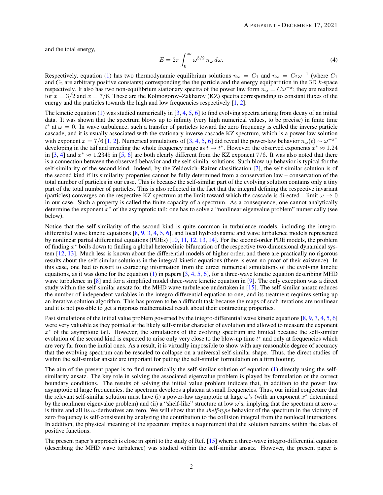and the total energy,

$$
E = 2\pi \int_0^\infty \omega^{3/2} n\omega \, d\omega. \tag{4}
$$

Respectively, equation [\(1\)](#page-0-0) has two thermodynamic equilibrium solutions  $n_\omega = C_1$  and  $n_\omega = C_2 \omega^{-1}$  (where  $C_1$ and  $C_2$  are arbitrary positive constants) corresponding the the particle and the energy equipartition in the 3D k-space respectively. It also has two non-equilibrium stationary spectra of the power law form  $n_\omega = C\omega^{-x}$ ; they are realized for  $x = 3/2$  and  $x = 7/6$ . These are the Kolmogorov–Zakharov (KZ) spectra corresponding to constant fluxes of the energy and the particles towards the high and low frequencies respectively [\[1,](#page-24-0) [2\]](#page-24-1).

The kinetic equation  $(1)$  was studied numerically in  $[3, 4, 5, 6]$  $[3, 4, 5, 6]$  $[3, 4, 5, 6]$  $[3, 4, 5, 6]$  $[3, 4, 5, 6]$  $[3, 4, 5, 6]$  $[3, 4, 5, 6]$  to find evolving spectra arising from decay of an initial data. It was shown that the spectrum blows up to infinity (very high numerical values, to be precise) in finite time  $t^*$  at  $\omega = 0$ . In wave turbulence, such a transfer of particles toward the zero frequency is called the inverse particle cascade, and it is usually associated with the stationary inverse cascade KZ spectrum, which is a power-law solution with exponent  $x = 7/6$  [\[1,](#page-24-0) [2\]](#page-24-1). Numerical simulations of [\[3,](#page-24-2) [4,](#page-24-3) [5,](#page-24-4) [6\]](#page-24-5) did reveal the power-law behavior  $n_{\omega}(t) \sim \omega^{-x^*}$ developing in the tail and invading the whole frequency range as  $t \to t^*$ . However, the observed exponents  $x^* \approx 1.24$ in [\[3,](#page-24-2) [4\]](#page-24-3) and  $x^* \approx 1.2345$  in [\[5,](#page-24-4) [6\]](#page-24-5) are both clearly different from the KZ exponent 7/6. It was also noted that there is a connection between the observed behavior and the self-similar solutions. Such blow-up behavior is typical for the self-similarity of the second kind. Indeed, by the Zeldovich–Raizer classification [\[7\]](#page-24-6), the self-similar solution is of the second kind if its similarity properties cannot be fully determined from a conservation law – conservation of the total number of particles in our case. This is because the self-similar part of the evolving solution contains only a tiny part of the total number of particles. This is also reflected in the fact that the integral defining the respective invariant (particles) converges on the respective KZ spectrum at the limit toward which the cascade is directed – limit  $\omega \to 0$ in our case. Such a property is called the finite capacity of a spectrum. As a consequence, one cannot analytically determine the exponent  $x^*$  of the asymptotic tail: one has to solve a "nonlinear eigenvalue problem" numerically (see below).

Notice that the self-similarity of the second kind is quite common in turbulence models, including the integrodifferential wave kinetic equations [\[8,](#page-24-7) [9,](#page-25-0) [3,](#page-24-2) [4,](#page-24-3) [5,](#page-24-4) [6\]](#page-24-5), and local hydrodynamic and wave turbulence models represented by nonlinear partial differential equations (PDEs) [\[10,](#page-25-1) [11,](#page-25-2) [12,](#page-25-3) [13,](#page-25-4) [14\]](#page-25-5). For the second-order PDE models, the problem of finding  $x^*$  boils down to finding a global heteroclinic bifurcation of the respective two-dimensional dynamical system [\[12,](#page-25-3) [13\]](#page-25-4). Much less is known about the differential models of higher order, and there are practically no rigorous results about the self-similar solutions in the integral kinetic equations (there is even no proof of their existence). In this case, one had to resort to extracting information from the direct numerical simulations of the evolving kinetic equations, as it was done for the equation  $(1)$  in papers  $[3, 4, 5, 6]$  $[3, 4, 5, 6]$  $[3, 4, 5, 6]$  $[3, 4, 5, 6]$  $[3, 4, 5, 6]$  $[3, 4, 5, 6]$  $[3, 4, 5, 6]$ , for a three-wave kinetic equation describing MHD wave turbulence in [\[8\]](#page-24-7) and for a simplified model three-wave kinetic equation in [\[9\]](#page-25-0). The only exception was a direct study within the self-similar ansatz for the MHD wave turbulence undertaken in [\[15\]](#page-25-6). The self-similar ansatz reduces the number of independent variables in the integro-differential equation to one, and its treatment requires setting up an iterative solution algorithm. This has proven to be a difficult task because the maps of such iterations are nonlinear and it is not possible to get a rigorous mathematical result about their contracting properties.

Past simulations of the initial value problem governed by the integro-differential wave kinetic equations [\[8,](#page-24-7) [9,](#page-25-0) [3,](#page-24-2) [4,](#page-24-3) [5,](#page-24-4) [6\]](#page-24-5) were very valuable as they pointed at the likely self-similar character of evolution and allowed to measure the exponent  $x^*$  of the asymptotic tail. However, the simulations of the evolving spectrum are limited because the self-similar evolution of the second kind is expected to arise only very close to the blow-up time  $t^*$  and only at frequencies which are very far from the initial ones. As a result, it is virtually impossible to show with any reasonable degree of accuracy that the evolving spectrum can be rescaled to collapse on a universal self-similar shape. Thus, the direct studies of within the self-similar ansatz are important for putting the self-similar formulation on a firm footing.

The aim of the present paper is to find numerically the self-similar solution of equation [\(1\)](#page-0-0) directly using the selfsimilarity ansatz. The key role in solving the associated eigenvalue problem is played by formulation of the correct boundary conditions. The results of solving the initial value problem indicate that, in addition to the power law asymptotic at large frequencies, the spectrum develops a plateau at small frequencies. Thus, our initial conjecture that the relevant self-similar solution must have (i) a power-law asymptotic at large  $\omega$ 's (with an exponent  $x^*$  determined by the nonlinear eigenvalue problem) and (ii) a "shelf-like" structure at low  $\omega$ 's, implying that the spectrum at zero  $\omega$ is finite and all its  $\omega$ -derivatives are zero. We will show that the *shelf-type* behavior of the spectrum in the vicinity of zero frequency is self-consistent by analyzing the contribution to the collision integral from the nonlocal interactions. In addition, the physical meaning of the spectrum implies a requirement that the solution remains within the class of positive functions.

The present paper's approach is close in spirit to the study of Ref. [\[15\]](#page-25-6) where a three-wave integro-differential equation (describing the MHD wave turbulence) was studied within the self-similar ansatz. However, the present paper is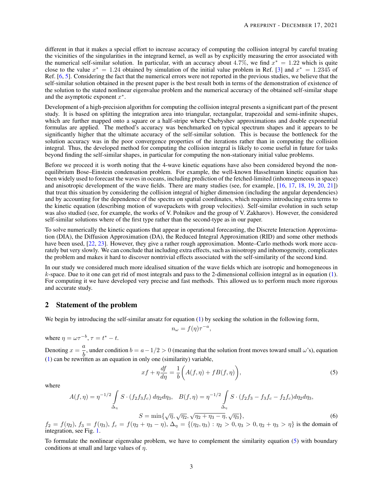different in that it makes a special effort to increase accuracy of computing the collision integral by careful treating the vicinities of the singularities in the integrand kernel, as well as by explicitly measuring the error associated with the numerical self-similar solution. In particular, with an accuracy about 4.7%, we find  $x^* = 1.22$  which is quite close to the value  $x^* = 1.24$  obtained by simulation of the initial value problem in Ref. [\[3\]](#page-24-2) and  $x^* = 1.2345$  of Ref. [\[6,](#page-24-5) [5\]](#page-24-4). Considering the fact that the numerical errors were not reported in the previous studies, we believe that the self-similar solution obtained in the present paper is the best result both in terms of the demonstration of existence of the solution to the stated nonlinear eigenvalue problem and the numerical accuracy of the obtained self-similar shape and the asymptotic exponent  $x^*$ .

Development of a high-precision algorithm for computing the collision integral presents a significant part of the present study. It is based on splitting the integration area into triangular, rectangular, trapezoidal and semi-infinite shapes, which are further mapped onto a square or a half-stripe where Chebyshev approximations and double exponential formulas are applied. The method's accuracy was benchmarked on typical spectrum shapes and it appears to be significantly higher that the ultimate accuracy of the self-similar solution. This is because the bottleneck for the solution accuracy was in the poor convergence properties of the iterations rather than in computing the collision integral. Thus, the developed method for computing the collision integral is likely to come useful in future for tasks beyond finding the self-similar shapes, in particular for computing the non-stationary initial value problems.

Before we proceed it is worth noting that the 4-wave kinetic equations have also been considered beyond the nonequilibrium Bose–Einstein condensation problem. For example, the well-known Hasselmann kinetic equation has been widely used to forecast the waves in oceans, including prediction of the fetched-limited (inhomogeneous in space) and anisotropic development of the wave fields. There are many studies (see, for example, [\[16,](#page-25-7) [17,](#page-25-8) [18,](#page-25-9) [19,](#page-25-10) [20,](#page-25-11) [21\]](#page-25-12)) that treat this situation by considering the collision integral of higher dimension (including the angular dependencies) and by accounting for the dependence of the spectra on spatial coordinates, which requires introducing extra terms to the kinetic equation (describing motion of wavepackets with group velocities). Self-similar evolution in such setup was also studied (see, for example, the works of V. Polnikov and the group of V. Zakharov). However, the considered self-similar solutions where of the first type rather than the second-type as in our paper.

To solve numerically the kinetic equations that appear in operational forecasting, the Discrete Interaction Approximation (DIA), the Diffusion Approximation (DA), the Reduced Integral Approximation (RID) and some other methods have been used, [\[22,](#page-25-13) [23\]](#page-25-14). However, they give a rather rough approximation. Monte–Carlo methods work more accurately but very slowly. We can conclude that including extra effects, such as inisotropy and inhomogeneity, complicates the problem and makes it hard to discover nontrivial effects associated with the self-similarity of the second kind.

In our study we considered much more idealised situation of the wave fields which are isotropic and homogeneous in  $k$ -space. Due to it one can get rid of most integrals and pass to the 2-dimensional collision integral as in equation  $(1)$ . For computing it we have developed very precise and fast methods. This allowed us to perform much more rigorous and accurate study.

### 2 Statement of the problem

We begin by introducing the self-similar ansatz for equation [\(1\)](#page-0-0) by seeking the solution in the following form,

$$
n_{\omega} = f(\eta)\tau^{-a},
$$

where 
$$
\eta = \omega \tau^{-b}
$$
,  $\tau = t^* - t$ .

Denoting  $x = \frac{a}{1}$  $\frac{a}{b}$ , under condition  $b = a - 1/2 > 0$  (meaning that the solution front moves toward small  $\omega$ 's), equation [\(1\)](#page-0-0) can be rewritten as an equation in only one (similarity) variable,

<span id="page-2-1"></span><span id="page-2-0"></span>
$$
xf + \eta \frac{df}{d\eta} = \frac{1}{b} \bigg( A(f, \eta) + f B(f, \eta) \bigg),\tag{5}
$$

where

$$
A(f,\eta) = \eta^{-1/2} \int_{\Delta_{\eta}} S \cdot (f_2 f_3 f_c) d\eta_2 d\eta_3, \quad B(f,\eta) = \eta^{-1/2} \int_{\Delta_{\eta}} S \cdot (f_2 f_3 - f_3 f_c - f_2 f_c) d\eta_2 d\eta_3,
$$

$$
S = \min\{\sqrt{\eta}, \sqrt{\eta_2}, \sqrt{\eta_2 + \eta_3 - \eta}, \sqrt{\eta_3}\},\tag{6}
$$

 $f_2 = f(\eta_2)$ ,  $f_3 = f(\eta_3)$ ,  $f_c = f(\eta_2 + \eta_3 - \eta)$ ,  $\Delta_{\eta} = \{(\eta_2, \eta_3) : \eta_2 > 0, \eta_3 > 0, \eta_2 + \eta_3 > \eta\}$  is the domain of integration, see Fig. [1.](#page-5-0)

To formulate the nonlinear eigenvalue problem, we have to complement the similarity equation [\(5\)](#page-2-0) with boundary conditions at small and large values of  $\eta$ .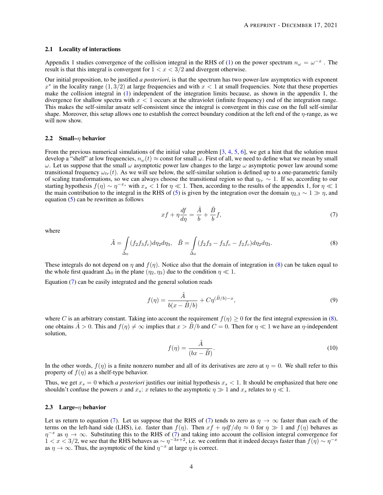#### 2.1 Locality of interactions

Appendix 1 studies convergence of the collision integral in the RHS of [\(1\)](#page-0-0) on the power spectrum  $n_{\omega} = \omega^{-x}$ . The result is that this integral is convergent for  $1 < x < 3/2$  and divergent otherwise.

Our initial proposition, to be justified *a posteriori*, is that the spectrum has two power-law asymptotics with exponent  $x^*$  in the locality range  $(1,3/2)$  at large frequencies and with  $x < 1$  at small frequencies. Note that these properties make the collision integral in [\(1\)](#page-0-0) independent of the integration limits because, as shown in the appendix 1, the divergence for shallow spectra with  $x < 1$  occurs at the ultraviolet (infinite frequency) end of the integration range. This makes the self-similar ansatz self-consistent since the integral is convergent in this case on the full self-similar shape. Moreover, this setup allows one to establish the correct boundary condition at the left end of the  $\eta$ -range, as we will now show.

#### <span id="page-3-3"></span>2.2 Small– $\eta$  behavior

From the previous numerical simulations of the initial value problem  $[3, 4, 5, 6]$  $[3, 4, 5, 6]$  $[3, 4, 5, 6]$  $[3, 4, 5, 6]$  $[3, 4, 5, 6]$  $[3, 4, 5, 6]$  $[3, 4, 5, 6]$ , we get a hint that the solution must develop a "shelf" at low frequencies,  $n_{\omega}(t) \approx$  const for small  $\omega$ . First of all, we need to define what we mean by small  $ω$ . Let us suppose that the small  $ω$  asymptotic power law changes to the large  $ω$  asymptotic power law around some transitional frequency  $\omega_{tr}(t)$ . As we will see below, the self-similar solution is defined up to a one-parametric family of scaling transformations, so we can always choose the transitional region so that  $\eta_{tr} \sim 1$ . If so, according to our starting hypothesis  $f(\eta) \sim \eta^{-x_s}$  with  $x_s < 1$  for  $\eta \ll 1$ . Then, according to the results of the appendix 1, for  $\eta \ll 1$ the main contribution to the integral in the RHS of [\(5\)](#page-2-0) is given by the integration over the domain  $\eta_{2,3} \sim 1 \gg \eta$ , and equation [\(5\)](#page-2-0) can be rewritten as follows

<span id="page-3-1"></span>
$$
xf + \eta \frac{df}{d\eta} = \frac{\tilde{A}}{b} + \frac{\tilde{B}}{b}f,\tag{7}
$$

where

<span id="page-3-0"></span>
$$
\tilde{A} = \int_{\Delta_0} (f_2 f_3 f_c) d\eta_2 d\eta_3, \quad \tilde{B} = \int_{\Delta_0} (f_2 f_3 - f_3 f_c - f_2 f_c) d\eta_2 d\eta_3.
$$
\n(8)

These integrals do not depend on  $\eta$  and  $f(\eta)$ . Notice also that the domain of integration in [\(8\)](#page-3-0) can be taken equal to the whole first quadrant  $\Delta_0$  in the plane  $(\eta_2, \eta_3)$  due to the condition  $\eta \ll 1$ .

Equation [\(7\)](#page-3-1) can be easily integrated and the general solution reads

<span id="page-3-2"></span>
$$
f(\eta) = \frac{\tilde{A}}{b(x - \tilde{B}/b)} + C\eta^{(\tilde{B}/b) - x},\tag{9}
$$

where C is an arbitrary constant. Taking into account the requirement  $f(\eta) \geq 0$  for the first integral expression in [\(8\)](#page-3-0), one obtains  $\tilde{A} > 0$ . This and  $f(\eta) \neq \infty$  implies that  $x > \tilde{B}/b$  and  $C = 0$ . Then for  $\eta \ll 1$  we have an  $\eta$ -independent solution,

$$
f(\eta) = \frac{\tilde{A}}{(bx - \tilde{B})}.
$$
\n(10)

In the other words,  $f(\eta)$  is a finite nonzero number and all of its derivatives are zero at  $\eta = 0$ . We shall refer to this property of  $f(\eta)$  as a shelf-type behavior.

Thus, we get  $x_s = 0$  which *a posteriori* justifies our initial hypothesis  $x_s < 1$ . It should be emphasized that here one shouldn't confuse the powers x and  $x_s$ : x relates to the asymptotic  $\eta \gg 1$  and  $x_s$  relates to  $\eta \ll 1$ .

#### 2.3 Large– $\eta$  behavior

Let us return to equation [\(7\)](#page-3-1). Let us suppose that the RHS of (7) tends to zero as  $\eta \to \infty$  faster than each of the terms on the left-hand side (LHS), i.e. faster than  $f(\eta)$ . Then  $xf + \eta df/d\eta \approx 0$  for  $\eta \gg 1$  and  $f(\eta)$  behaves as  $\eta^{-x}$  as  $\eta \to \infty$ . Substituting this to the RHS of [\(7\)](#page-3-1) and taking into account the collision integral convergence for  $1 < x < 3/2$ , we see that the RHS behaves as  $\sim \eta^{-3x+2}$ , i.e. we confirm that it indeed decays faster than  $f(\eta) \sim \eta^{-x}$ as  $\eta \to \infty$ . Thus, the asymptotic of the kind  $\eta^{-x}$  at large  $\eta$  is correct.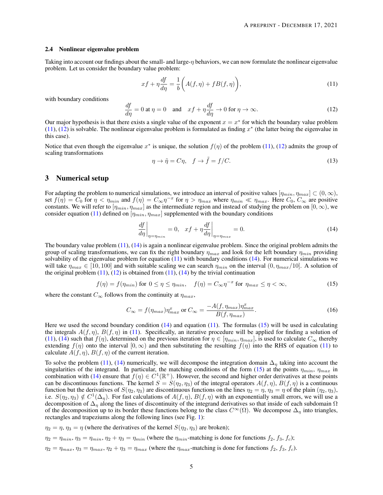#### 2.4 Nonlinear eigenvalue problem

Taking into account our findings about the small- and large- $\eta$  behaviors, we can now formulate the nonlinear eigenvalue problem. Let us consider the boundary value problem:

<span id="page-4-0"></span>
$$
xf + \eta \frac{df}{d\eta} = \frac{1}{b} \bigg( A(f, \eta) + f B(f, \eta) \bigg),\tag{11}
$$

with boundary conditions

<span id="page-4-1"></span>
$$
\frac{df}{d\eta} = 0 \text{ at } \eta = 0 \quad \text{and} \quad xf + \eta \frac{df}{d\eta} \to 0 \text{ for } \eta \to \infty. \tag{12}
$$

Our major hypothesis is that there exists a single value of the exponent  $x = x^*$  for which the boundary value problem [\(11\)](#page-4-0), [\(12\)](#page-4-1) is solvable. The nonlinear eigenvalue problem is formulated as finding  $x^*$  (the latter being the eigenvalue in this case).

Notice that even though the eigenvalue  $x^*$  is unique, the solution  $f(\eta)$  of the problem [\(11\)](#page-4-0), [\(12\)](#page-4-1) admits the group of scaling transformations

<span id="page-4-5"></span>
$$
\eta \to \tilde{\eta} = C\eta, \quad f \to \tilde{f} = f/C. \tag{13}
$$

### 3 Numerical setup

For adapting the problem to numerical simulations, we introduce an interval of positive values  $[\eta_{min}, \eta_{max}] \subset (0, \infty)$ , set  $f(\eta) = C_0$  for  $\eta < \eta_{min}$  and  $f(\eta) = C_{\infty} \eta^{-x}$  for  $\eta > \eta_{max}$  where  $\eta_{min} \ll \eta_{max}$ . Here  $C_0$ ,  $C_{\infty}$  are positive constants. We will refer to  $[\eta_{min},\eta_{max}]$  as the intermediate region and instead of studying the problem on  $[0,\infty)$ , we consider equation [\(11\)](#page-4-0) defined on  $[\eta_{min}, \eta_{max}]$  supplemented with the boundary conditions

<span id="page-4-2"></span>
$$
\left. \frac{df}{d\eta} \right|_{\eta = \eta_{min}} = 0, \quad xf + \eta \frac{df}{d\eta} \bigg|_{\eta = \eta_{max}} = 0.
$$
\n(14)

The boundary value problem [\(11\)](#page-4-0), [\(14\)](#page-4-2) is again a nonlinear eigenvalue problem. Since the original problem admits the group of scaling transformations, we can fix the right boundary  $\eta_{max}$  and look for the left boundary  $\eta_{min}$  providing solvability of the eigenvalue problem for equation  $(11)$  with boundary conditions  $(14)$ . For numerical simulations we will take  $\eta_{max} \in [10, 100]$  and with suitable scaling we can search  $\eta_{min}$  on the interval  $(0, \eta_{max}/10]$ . A solution of the original problem  $(11)$ ,  $(12)$  is obtained from  $(11)$ ,  $(14)$  by the trivial continuation

<span id="page-4-3"></span>
$$
f(\eta) = f(\eta_{min}) \text{ for } 0 \le \eta \le \eta_{min}, \quad f(\eta) = C_{\infty} \eta^{-x} \text{ for } \eta_{max} \le \eta < \infty,\tag{15}
$$

where the constant  $C_{\infty}$  follows from the continuity at  $\eta_{max}$ ,

<span id="page-4-4"></span>
$$
C_{\infty} = f(\eta_{max})\eta_{max}^x \text{ or } C_{\infty} = \frac{-A(f, \eta_{max})\eta_{max}^x}{B(f, \eta_{max})}.
$$
 (16)

Here we used the second boundary condition  $(14)$  and equation  $(11)$ . The formulas  $(15)$  will be used in calculating the integrals  $A(f, \eta)$ ,  $B(f, \eta)$  in [\(11\)](#page-4-0). Specifically, an iterative procedure will be applied for finding a solution of [\(11\)](#page-4-0), [\(14\)](#page-4-2) such that  $f(\eta)$ , determined on the previous iteration for  $\eta \in [\eta_{min}, \eta_{max}]$ , is used to calculate  $C_{\infty}$  thereby extending  $f(\eta)$  onto the interval  $[0, \infty)$  and then substituting the resulting  $f(\eta)$  into the RHS of equation [\(11\)](#page-4-0) to calculate  $A(f, \eta), B(f, \eta)$  of the current iteration.

To solve the problem [\(11\)](#page-4-0), [\(14\)](#page-4-2) numerically, we will decompose the integration domain  $\Delta_n$  taking into account the singularities of the integrand. In particular, the matching conditions of the form [\(15\)](#page-4-3) at the points  $\eta_{min}$ ,  $\eta_{max}$  in combination with [\(14\)](#page-4-2) ensure that  $f(\eta) \in C^1(\mathbb{R}^+)$ . However, the second and higher order derivatives at these points can be discontinuous functions. The kernel  $S = S(\eta_2, \eta_3)$  of the integral operators  $A(f, \eta), B(f, \eta)$  is a continuous function but the derivatives of  $S(\eta_2, \eta_3)$  are discontinuous functions on the lines  $\eta_2 = \eta$ ,  $\eta_3 = \eta$  of the plain  $(\eta_2, \eta_3)$ , i.e.  $S(\eta_2, \eta_3) \notin C^1(\Delta_\eta)$ . For fast calculations of  $A(f, \eta), B(f, \eta)$  with an exponentially small errors, we will use a decomposition of  $\Delta_n$  along the lines of discontinuity of the integrand derivatives so that inside of each subdomain  $\Omega$ of the decomposition up to its border these functions belong to the class  $C^{\infty}(\Omega)$ . We decompose  $\Delta_n$  into triangles, rectangles and trapeziums along the following lines (see Fig. [1\)](#page-5-0):

 $\eta_2 = \eta$ ,  $\eta_3 = \eta$  (where the derivatives of the kernel  $S(\eta_2, \eta_3)$  are broken);

- $\eta_2 = \eta_{min}, \eta_3 = \eta_{min}, \eta_2 + \eta_3 = \eta_{min}$  (where the  $\eta_{min}$ -matching is done for functions  $f_2, f_3, f_c$ );
- $\eta_2 = \eta_{max}, \eta_3 = \eta_{max}, \eta_2 + \eta_3 = \eta_{max}$  (where the  $\eta_{max}$ -matching is done for functions  $f_2, f_3, f_c$ ).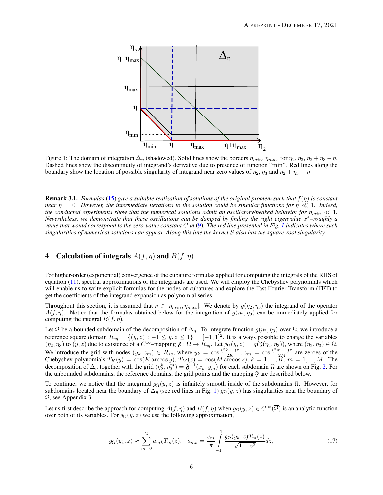<span id="page-5-0"></span>

Figure 1: The domain of integration  $\Delta_{\eta}$  (shadowed). Solid lines show the borders  $\eta_{min}$ ,  $\eta_{max}$  for  $\eta_2$ ,  $\eta_3$ ,  $\eta_2 + \eta_3 - \eta$ . Dashed lines show the discontinuity of integrand's derivative due to presence of function "min". Red lines along the boundary show the location of possible singularity of integrand near zero values of  $\eta_2$ ,  $\eta_3$  and  $\eta_2 + \eta_3 - \eta$ 

<span id="page-5-2"></span>Remark 3.1. *Formulas* [\(15\)](#page-4-3) *give a suitable realization of solutions of the original problem such that* f(η) *is constant near*  $\eta = 0$ *. However, the intermediate iterations to the solution could be singular functions for*  $\eta \ll 1$ *. Indeed, the conducted experiments show that the numerical solutions admit an oscillatory/peaked behavior for*  $\eta_{min} \ll 1$ . *Nevertheless, we demonstrate that these oscillations can be damped by finding the right eigenvalue* x <sup>∗</sup>*–roughly a value that would correspond to the zero-value constant* C *in* [\(9\)](#page-3-2)*. The red line presented in Fig. [1](#page-5-0) indicates where such singularities of numerical solutions can appear. Along this line the kernel* S *also has the square-root singularity.*

# <span id="page-5-3"></span>4 Calculation of integrals  $A(f, \eta)$  and  $B(f, \eta)$

For higher-order (exponential) convergence of the cubature formulas applied for computing the integrals of the RHS of equation [\(11\)](#page-4-0), spectral approximations of the integrands are used. We will employ the Chebyshev polynomials which will enable us to write explicit formulas for the nodes of cubatures and explore the Fast Fourier Transform (FFT) to get the coefficients of the integrand expansion as polynomial series.

Throughout this section, it is assumed that  $\eta \in [\eta_{min}, \eta_{max}]$ . We denote by  $g(\eta_2, \eta_3)$  the integrand of the operator  $A(f, \eta)$ . Notice that the formulas obtained below for the integration of  $g(\eta_2, \eta_3)$  can be immediately applied for computing the integral  $B(f, \eta)$ .

Let  $\Omega$  be a bounded subdomain of the decomposition of  $\Delta_{\eta}$ . To integrate function  $g(\eta_2, \eta_3)$  over  $\Omega$ , we introduce a reference square domain  $R_{sq} = \{(y, z) : -1 \leq y, z \leq 1\} = [-1, 1]^2$ . It is always possible to change the variables  $(\eta_2, \eta_3)$  to  $(y, z)$  due to existence of a  $C^{\infty}$ -mapping  $\mathfrak{F} : \Omega \to \mathbb{R}_{sq}$ . Let  $g_{\Omega}(y, z) = g(\mathfrak{F}(\eta_2, \eta_3))$ , where  $(\eta_2, \eta_3) \in \Omega$ . We introduce the grid with nodes  $(y_k, z_m) \in R_{sq}$ , where  $y_k = \cos \frac{(2k-1)\pi}{2K}$  $\frac{(z-1)\pi}{2K}$ ,  $z_m = \cos \frac{(2m-1)\pi}{2M}$  are zeroes of the Chebyshev polynomials  $T_K(y) = \cos(K \arccos y)$ ,  $T_M(z) = \cos(M \arccos z)$ ,  $k = 1, ..., K$ ,  $m = 1, ..., M$ . The decomposition of  $\Delta_{\eta}$  together with the grid  $(\eta_2^k, \eta_3^m) = \mathfrak{F}^{-1}(x_k, y_m)$  for each subdomain  $\Omega$  are shown on Fig. [2.](#page-6-0) For the unbounded subdomains, the reference domains, the grid points and the mapping  $\mathfrak{F}$  are described below.

To continue, we notice that the integrand  $g_{\Omega}(y, z)$  is infinitely smooth inside of the subdomains  $\Omega$ . However, for subdomains located near the boundary of  $\Delta_{\eta}$  (see red lines in Fig. [1\)](#page-5-0)  $g_{\Omega}(y, z)$  has singularities near the boundary of Ω, see Appendix 3.

Let us first describe the approach for computing  $A(f, \eta)$  and  $B(f, \eta)$  when  $g_{\Omega}(y, z) \in C^{\infty}(\overline{\Omega})$  is an analytic function over both of its variables. For  $g_{\Omega}(y, z)$  we use the following approximation,

<span id="page-5-1"></span>
$$
g_{\Omega}(y_k, z) \approx \sum_{m=0}^{M} a_{mk} T_m(z), \quad a_{mk} = \frac{c_m}{\pi} \int_{-1}^{1} \frac{g_{\Omega}(y_k, z) T_m(z)}{\sqrt{1 - z^2}} dz,
$$
 (17)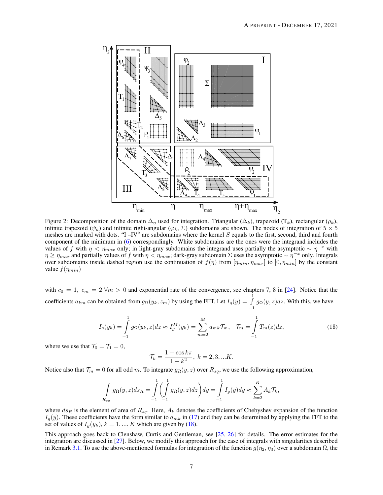<span id="page-6-0"></span>

Figure 2: Decomposition of the domain  $\Delta_{\eta}$  used for integration. Triangular ( $\Delta_{k}$ ), trapezoid (T<sub>k</sub>), rectangular ( $\rho_{k}$ ), infinite trapezoid ( $\psi_k$ ) and infinite right-angular ( $\varphi_k$ ,  $\Sigma$ ) subdomains are shown. The nodes of integration of  $5 \times 5$ meshes are marked with dots. "I –IV" are subdomains where the kernel  $S$  equals to the first, second, third and fourth component of the minimum in [\(6\)](#page-2-1) correspondingly. White subdomains are the ones were the integrand includes the values of f with  $\eta < \eta_{max}$  only; in light-gray subdomains the integrand uses partially the asymptotic  $\sim \eta^{-x}$  with  $\eta \ge \eta_{max}$  and partially values of f with  $\eta < \eta_{max}$ ; dark-gray subdomain  $\Sigma$  uses the asymptotic  $\sim \eta^{-x}$  only. Integrals over subdomains inside dashed region use the continuation of  $f(\eta)$  from  $[\eta_{min}, \eta_{max}]$  to  $[0, \eta_{min}]$  by the constant value  $f(\eta_{min})$ 

with  $c_0 = 1$ ,  $c_m = 2 \forall m > 0$  and exponential rate of the convergence, see chapters 7, 8 in [\[24\]](#page-25-15). Notice that the coefficients  $a_{km}$  can be obtained from  $g_{\Omega}(y_k, z_m)$  by using the FFT. Let  $I_g(y) = \int_0^1$  $\int_{-1}^{1} g_{\Omega}(y, z) dz$ . With this, we have

<span id="page-6-1"></span>
$$
I_g(y_k) = \int_{-1}^1 g_{\Omega}(y_k, z) dz \approx I_g^M(y_k) = \sum_{m=2}^M a_{mk} \mathcal{T}_m, \quad \mathcal{T}_m = \int_{-1}^1 T_m(z) dz,
$$
 (18)

where we use that  $\mathcal{T}_0 = \mathcal{T}_1 = 0$ ,

$$
\mathcal{T}_k = \frac{1 + \cos k\pi}{1 - k^2}, \ k = 2, 3, \dots K.
$$

Notice also that  $\mathcal{T}_m = 0$  for all odd m. To integrate  $g_{\Omega}(y, z)$  over  $R_{sq}$ , we use the following approximation,

$$
\int_{R_{sq}} g_{\Omega}(y, z) ds_R = \int_{-1}^{1} \left( \int_{-1}^{1} g_{\Omega}(y, z) dz \right) dy = \int_{-1}^{1} I_g(y) dy \approx \sum_{k=2}^{K} A_k \mathcal{T}_k,
$$

where  $ds_R$  is the element of area of  $R_{sq}$ . Here,  $A_k$  denotes the coefficients of Chebyshev expansion of the function  $I_g(y)$ . These coefficients have the form similar to  $a_{mk}$  in [\(17\)](#page-5-1) and they can be determined by applying the FFT to the set of values of  $I_g(y_k)$ ,  $k = 1, ..., K$  which are given by [\(18\)](#page-6-1).

This approach goes back to Clenshaw, Curtis and Gentleman, see [\[25,](#page-25-16) [26\]](#page-25-17) for details. The error estimates for the integration are discussed in [\[27\]](#page-25-18). Below, we modify this approach for the case of integrals with singularities described in Remark [3.1.](#page-5-2) To use the above-mentioned formulas for integration of the function  $g(\eta_2, \eta_3)$  over a subdomain  $\Omega$ , the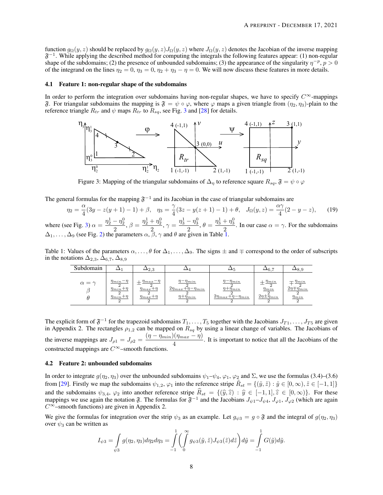function  $g_{\Omega}(y, z)$  should be replaced by  $g_{\Omega}(y, z)J_{\Omega}(y, z)$  where  $J_{\Omega}(y, z)$  denotes the Jacobian of the inverse mapping  $\mathfrak{F}^{-1}$ . While applying the described method for computing the integrals the following features appear: (1) non-regular shape of the subdomains; (2) the presence of unbounded subdomains; (3) the appearance of the singularity  $\eta^{-p}$ ,  $p > 0$ of the integrand on the lines  $\eta_2 = 0$ ,  $\eta_3 = 0$ ,  $\eta_2 + \eta_3 - \eta = 0$ . We will now discuss these features in more details.

#### 4.1 Feature 1: non-regular shape of the subdomains

<span id="page-7-0"></span>In order to perform the integration over subdomains having non-regular shapes, we have to specify  $C^{\infty}$ -mappings  $\mathfrak F$ . For triangular subdomains the mapping is  $\mathfrak F = \psi \circ \varphi$ , where  $\varphi$  maps a given triangle from  $(\eta_2, \eta_3)$ -plain to the reference triangle  $R_{tr}$  and  $\psi$  maps  $R_{tr}$  to  $R_{sq}$ , see Fig. [3](#page-7-0) and [\[28\]](#page-25-19) for details.



Figure 3: Mapping of the triangular subdomains of  $\Delta_{\eta}$  to reference square  $R_{sq}$ ,  $\mathfrak{F} = \psi \circ \varphi$ 

The general formulas for the mapping  $\mathfrak{F}^{-1}$  and its Jacobian in the case of triangular subdomains are

<span id="page-7-3"></span>
$$
\eta_2 = \frac{\alpha}{4}(3y - z(y+1) - 1) + \beta, \quad \eta_3 = \frac{\gamma}{4}(3z - y(z+1) - 1) + \theta, \quad J_{\Omega}(y, z) = \frac{\alpha \gamma}{4}(2 - y - z), \tag{19}
$$

where (see Fig. [3\)](#page-7-0)  $\alpha = \frac{\eta_2^1 - \eta_2^0}{2}$  $\frac{1}{2} - \eta_2^0, \, \beta = \frac{\eta_2^1 + \eta_2^0}{2}$  $\frac{1+\eta_2^0}{2}, \gamma = \frac{\eta_3^1 - \eta_3^0}{2}$  $\frac{-\eta_3^0}{2}$ ,  $\theta = \frac{\eta_3^1 + \eta_3^0}{2}$  $\frac{1}{2}$ . In our case  $\alpha = \gamma$ . For the subdomains  $\Delta_1, \ldots, \Delta_9$  (see Fig. [2\)](#page-6-0) the parameters  $\alpha, \beta, \gamma$  and  $\theta$  are given in Table [1.](#page-7-1)

<span id="page-7-1"></span>Table 1: Values of the parameters  $\alpha, \ldots, \theta$  for  $\Delta_1, \ldots, \Delta_9$ . The signs  $\pm$  and  $\mp$  correspond to the order of subscripts in the notations  $\Delta_{2,3}$ ,  $\Delta_{6,7}$ ,  $\Delta_{8,9}$ 

| Subdomain         | $\Delta2.3$         |                         |                                   |                                   | $\Delta_{6.7}$               | $\Delta8.9$                     |
|-------------------|---------------------|-------------------------|-----------------------------------|-----------------------------------|------------------------------|---------------------------------|
| $\alpha = \gamma$ | $\eta_{min} - \eta$ | $\pm \eta_{max} - \eta$ | $\eta-\eta_{min}$                 | $\eta-\eta_{min}$                 | $+ \frac{\eta_{min}}{2}$     | $\frac{\eta_{min}}{\eta_{min}}$ |
|                   | $\eta_{min} + \eta$ | $\eta_{max} + \eta$     | $2\eta_{max} + \eta - \eta_{min}$ | $\eta + \eta_{min}$               | $\eta_{min}$                 | $2\eta \mp \eta_{min}$          |
|                   | $\eta_{min} + \eta$ | $\eta_{max} + \eta$     | $\eta + \eta_{min}$               | $2\eta_{max} + \eta - \eta_{min}$ | $2\eta \pm \bar{\eta}_{min}$ | $\eta_{min}$                    |

The explicit form of  $\mathfrak{F}^{-1}$  for the trapezoid subdomains  $T_1,\ldots,T_5$  together with the Jacobians  $J_{T1},\ldots,J_{T5}$  are given in Appendix 2. The rectangles  $\rho_{1,2}$  can be mapped on  $R_{sq}$  by using a linear change of variables. The Jacobians of the inverse mappings are  $J_{\rho 1} = J_{\rho 2} = \frac{(\eta - \eta_{min})(\eta_{max} - \eta)}{4}$  $\frac{\sqrt{max - y}}{4}$ . It is important to notice that all the Jacobians of the constructed mappings are  $C^{\infty}$ –smooth functions.

#### <span id="page-7-2"></span>4.2 Feature 2: unbounded subdomains

In order to integrate  $g(\eta_2, \eta_3)$  over the unbounded subdomains  $\psi_1-\psi_4$ ,  $\varphi_1$ ,  $\varphi_2$  and  $\Sigma$ , we use the formulas (3.4)–(3.6) from [\[29\]](#page-25-20). Firstly we map the subdomains  $\psi_{1,2}$ ,  $\varphi_1$  into the reference stripe  $\tilde{R}_{st} = \{(\tilde{y}, \tilde{z}) : \tilde{y} \in [0, \infty), \tilde{z} \in [-1, 1]\}$ and the subdomains  $\psi_{3,4}$ ,  $\varphi_2$  into another reference stripe  $R_{st} = \{(\widehat{y}, \widehat{z}) : \widehat{y} \in [-1, 1], \widehat{z} \in [0, \infty)\}\.$  For these mappings we use again the notation  $\mathfrak{F}$ . The formulas for  $\mathfrak{F}^{-1}$  and the Jacob  $C^{\infty}$ –smooth functions) are given in Appendix 2.

We give the formulas for integration over the strip  $\psi_3$  as an example. Let  $g_{\psi 3} = g \circ \mathfrak{F}$  and the integral of  $g(\eta_2, \eta_3)$ over  $\psi_3$  can be written as

$$
I_{\psi 3} = \int\limits_{\psi 3} g(\eta_2, \eta_3) d\eta_2 d\eta_3 = \int\limits_{-1}^1 \left( \int\limits_0^\infty g_{\psi 3}(\tilde{y}, \tilde{z}) J_{\psi 3}(\tilde{z}) d\tilde{z} \right) d\tilde{y} = \int\limits_{-1}^1 G(\tilde{y}) d\tilde{y}.
$$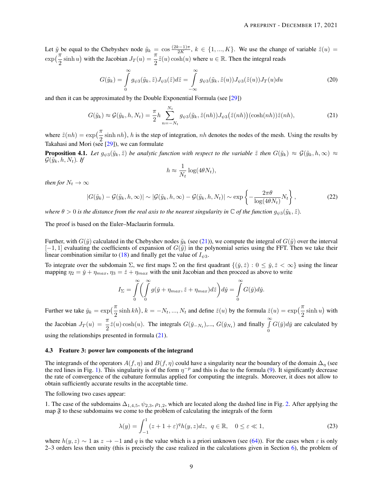Let  $\tilde{y}$  be equal to the Chebyshev node  $\tilde{y}_k = \cos \frac{(2k-1)\pi}{2K}$  $\frac{z-1}{2K}$ ,  $k \in \{1, ..., K\}$ . We use the change of variable  $\tilde{z}(u) =$  $\exp\left(\frac{\pi}{2}\sinh u\right)$  with the Jacobian  $J_T(u) = \frac{\pi}{2}\tilde{z}(u)\cosh(u)$  where  $u \in \mathbb{R}$ . Then the integral reads

$$
G(\tilde{y}_k) = \int\limits_0^\infty g_{\psi 3}(\tilde{y}_k, \tilde{z}) J_{\psi 3}(\tilde{z}) d\tilde{z} = \int\limits_{-\infty}^\infty g_{\psi 3}(\tilde{y}_k, \tilde{z}(u)) J_{\psi 3}(\tilde{z}(u)) J_T(u) du \tag{20}
$$

and then it can be approximated by the Double Exponential Formula (see [\[29\]](#page-25-20))

<span id="page-8-0"></span>
$$
G(\tilde{y}_k) \approx \mathcal{G}(\tilde{y}_k, h, N_t) = \frac{\pi}{2} h \sum_{n=-N_t}^{N_t} g_{\psi 3}(\tilde{y}_k, \tilde{z}(nh)) J_{\psi 3}(\tilde{z}(nh)) (\cosh(nh)) \tilde{z}(nh), \tag{21}
$$

where  $\tilde{z}(nh) = \exp(\frac{\pi}{2} \sinh nh)$ , h is the step of integration, nh denotes the nodes of the mesh. Using the results by Takahasi and Mori (see [\[29\]](#page-25-20)), we can formulate

**Proposition 4.1.** *Let*  $g_{\psi 3}(\tilde{y}_k, \tilde{z})$  *be analytic function with respect to the variable*  $\tilde{z}$  *then*  $G(\tilde{y}_k) \approx \mathcal{G}(\tilde{y}_k, h, \infty) \approx$  $\mathcal{G}(\tilde{y}_k, h, N_t)$ . If

$$
h \approx \frac{1}{N_t} \log(4\theta N_t),
$$

*then for*  $N_t \to \infty$ 

<span id="page-8-3"></span>
$$
|G(\tilde{y}_k) - \mathcal{G}(\tilde{y}_k, h, \infty)| \sim |\mathcal{G}(\tilde{y}_k, h, \infty) - \mathcal{G}(\tilde{y}_k, h, N_t)| \sim \exp\left\{-\frac{2\pi\theta}{\log(4\theta N_t)}N_t\right\},\tag{22}
$$

*where*  $\theta > 0$  *is the distance from the real axis to the nearest singularity in*  $\mathbb{C}$  *of the function*  $g_{\psi 3}(\tilde{y}_k, \tilde{z})$ *.* 

The proof is based on the Euler–Maclaurin formula.

Further, with  $G(\tilde{y})$  calculated in the Chebyshev nodes  $\tilde{y}_k$  (see [\(21\)](#page-8-0)), we compute the integral of  $G(\tilde{y})$  over the interval  $[-1, 1]$  evaluating the coefficients of expansion of  $G(\tilde{y})$  in the polynomial series using the FFT. Then we take their linear combination similar to [\(18\)](#page-6-1) and finally get the value of  $I_{\psi 3}$ .

To integrate over the subdomain  $\Sigma$ , we first maps  $\Sigma$  on the first quadrant  $\{(\check{y}, \check{z}) : 0 \leq \check{y}, \check{z} < \infty\}$  using the linear mapping  $\eta_2 = \check{y} + \eta_{max}, \eta_3 = \check{z} + \eta_{max}$  with the unit Jacobian and then proceed as above to write

$$
I_{\Sigma} = \int_{0}^{\infty} \left( \int_{0}^{\infty} g(\check{y} + \eta_{max}, \check{z} + \eta_{max}) d\check{z} \right) d\check{y} = \int_{0}^{\infty} G(\check{y}) d\check{y}.
$$

Further we take  $\check{y}_k = \exp\left(\frac{\pi}{2}\sinh kh\right), k = -N_t, ..., N_t$  and define  $\check{z}(u)$  by the formula  $\check{z}(u) = \exp\left(\frac{\pi}{2}\sinh u\right)$  with the Jacobian  $J_T(u) = \frac{\pi}{2} \tilde{z}(u) \cosh(u)$ . The integrals  $G(\tilde{y}_{-N_t})$ ,...,  $G(\tilde{y}_{N_t})$  and finally  $\int_{0}^{\infty}$ 0  $G(\check{y})d\check{y}$  are calculated by using the relationships presented in formula  $(21)$ .

#### <span id="page-8-2"></span>4.3 Feature 3: power law components of the integrand

The integrands of the operators  $A(f, \eta)$  and  $B(f, \eta)$  could have a singularity near the boundary of the domain  $\Delta_{\eta}$  (see the red lines in Fig. [1\)](#page-5-0). This singularity is of the form  $\eta^{-p}$  and this is due to the formula [\(9\)](#page-3-2). It significantly decrease the rate of convergence of the cubature formulas applied for computing the integrals. Moreover, it does not allow to obtain sufficiently accurate results in the acceptable time.

The following two cases appear:

1. The case of the subdomains  $\Delta_{1,4,5}$ ,  $\psi_{2,3}$ ,  $\rho_{1,2}$ , which are located along the dashed line in Fig. [2.](#page-6-0) After applying the map  $\mathfrak F$  to these subdomains we come to the problem of calculating the integrals of the form

<span id="page-8-1"></span>
$$
\lambda(y) = \int_{-1}^{1} (z+1+\varepsilon)^q h(y,z) dz, \ q \in \mathbb{R}, \quad 0 \le \varepsilon \ll 1,
$$
 (23)

where  $h(y, z) \sim 1$  as  $z \to -1$  and q is the value which is a priori unknown (see [\(64\)](#page-19-0)). For the cases when  $\varepsilon$  is only 2–3 orders less then unity (this is precisely the case realized in the calculations given in Section [6\)](#page-13-0), the problem of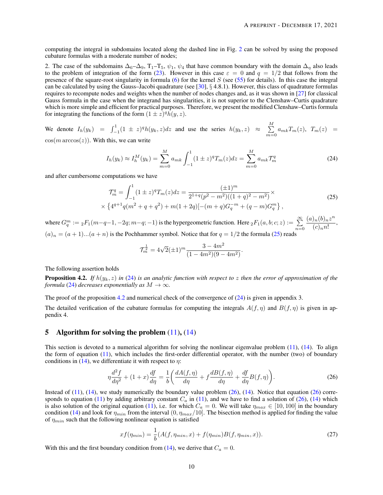computing the integral in subdomains located along the dashed line in Fig. [2](#page-6-0) can be solved by using the proposed cubature formulas with a moderate number of nodes;

2. The case of the subdomains  $\Delta_6-\Delta_9$ ,  $T_1-T_5$ ,  $\psi_1$ ,  $\psi_4$  that have common boundary with the domain  $\Delta_\eta$  also leads to the problem of integration of the form [\(23\)](#page-8-1). However in this case  $\varepsilon = 0$  and  $q = 1/2$  that follows from the presence of the square-root singularity in formula  $(6)$  for the kernel S (see [\(55\)](#page-19-1) for details). In this case the integral can be calculated by using the Gauss–Jacobi quadrature (see  $[30]$ , § 4.8.1). However, this class of quadrature formulas requires to recompute nodes and weights when the number of nodes changes and, as it was shown in [\[27\]](#page-25-18) for classical Gauss formula in the case when the integrand has singularities, it is not superior to the Clenshaw–Curtis quadrature which is more simple and efficient for practical purposes. Therefore, we present the modified Clenshaw–Curtis formula for integrating the functions of the form  $(1 \pm \overline{z})^q h(y, z)$ .

We denote  $I_h(y_k) = \int_{-1}^{1} (1 \pm z)^q h(y_k, z) dz$  and use the series  $h(y_k, z) \approx \sum_{k=1}^{M}$  $\sum_{m=0} a_{mk} T_m(z)$ ,  $T_m(z)$  =  $cos(m \arccos(z))$ . With this, we can write

<span id="page-9-1"></span>
$$
I_h(y_k) \approx I_h^M(y_k) = \sum_{m=0}^M a_{mk} \int_{-1}^1 (1 \pm z)^q T_m(z) dz = \sum_{m=0}^M a_{mk} T_m^q
$$
 (24)

and after cumbersome computations we have

<span id="page-9-0"></span>
$$
\mathcal{T}_{m}^{q} = \int_{-1}^{1} (1 \pm z)^{q} T_{m}(z) dz = \frac{(\pm 1)^{m}}{2^{1+q} (p^{2} - m^{2})((1+q)^{2} - m^{2})} \times \left\{ 4^{q+1} q(m^{2} + q + q^{2}) + m(1+2q)[-(m+q)G_{q}^{-m} + (q-m)G_{q}^{m} \right\},\tag{25}
$$

where  $G_q^m := {}_2F_1(m-q-1, -2q; m-q; -1)$  is the hypergeometric function. Here  ${}_2F_1(a, b; c; z) := \sum_{n=0}^{\infty}$  $(a)_n(b)_n z^n$  $\frac{\sqrt{n}(\sigma)n}{(c)_{n}n!}$ ,  $(a)_n = (a+1)...(a+n)$  is the Pochhammer symbol. Notice that for  $q = 1/2$  the formula [\(25\)](#page-9-0) reads

$$
\mathcal{T}_{m}^{\frac{1}{2}} = 4\sqrt{2}(\pm 1)^{m} \frac{3 - 4m^{2}}{(1 - 4m^{2})(9 - 4m^{2})}.
$$

The following assertion holds

<span id="page-9-2"></span>Proposition 4.2. *If* h(yk, z) *in* [\(24\)](#page-9-1) *is an analytic function with respect to* z *then the error of approximation of the formula* [\(24\)](#page-9-1) *decreases exponentially as*  $M \to \infty$ *.* 

The proof of the proposition [4.2](#page-9-2) and numerical check of the convergence of [\(24\)](#page-9-1) is given in appendix 3.

The detailed verification of the cubature formulas for computing the integrals  $A(f, \eta)$  and  $B(f, \eta)$  is given in appendix 4.

# 5 Algorithm for solving the problem  $(11)$ ,  $(14)$

This section is devoted to a numerical algorithm for solving the nonlinear eigenvalue problem [\(11\)](#page-4-0), [\(14\)](#page-4-2). To align the form of equation [\(11\)](#page-4-0), which includes the first-order differential operator, with the number (two) of boundary conditions in [\(14\)](#page-4-2), we differentiate it with respect to  $\eta$ :

<span id="page-9-3"></span>
$$
\eta \frac{d^2 f}{d\eta^2} + (1+x)\frac{df}{d\eta} = \frac{1}{b} \left( \frac{dA(f,\eta)}{d\eta} + f \frac{dB(f,\eta)}{d\eta} + \frac{df}{d\eta} B(f,\eta) \right). \tag{26}
$$

Instead of  $(11)$ ,  $(14)$ , we study numerically the boundary value problem  $(26)$ ,  $(14)$ . Notice that equation  $(26)$  corre-sponds to equation [\(11\)](#page-4-0) by adding arbitrary constant  $C_a$  in (11), and we have to find a solution of [\(26\)](#page-9-3), [\(14\)](#page-4-2) which is also solution of the original equation [\(11\)](#page-4-0), i.e. for which  $C_a = 0$ . We will take  $\eta_{max} \in [10, 100]$  in the boundary condition [\(14\)](#page-4-2) and look for  $\eta_{min}$  from the interval  $(0, \eta_{max}/10]$ . The bisection method is applied for finding the value of  $\eta_{min}$  such that the following nonlinear equation is satisfied

<span id="page-9-4"></span>
$$
xf(\eta_{min}) = \frac{1}{b}(A(f, \eta_{min}, x) + f(\eta_{min})B(f, \eta_{min}, x)).
$$
\n(27)

With this and the first boundary condition from [\(14\)](#page-4-2), we derive that  $C_a = 0$ .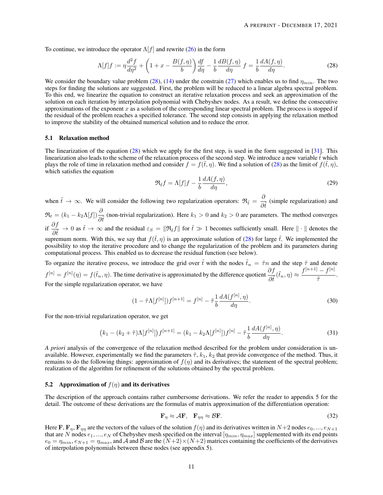To continue, we introduce the operator  $\Lambda[f]$  and rewrite [\(26\)](#page-9-3) in the form

<span id="page-10-0"></span>
$$
\Lambda[f]f := \eta \frac{d^2 f}{d\eta^2} + \left(1 + x - \frac{B(f,\eta)}{b}\right) \frac{df}{d\eta} - \frac{1}{b} \frac{dB(f,\eta)}{d\eta} f = \frac{1}{b} \frac{dA(f,\eta)}{d\eta}.
$$
\n(28)

We consider the boundary value problem [\(28\)](#page-10-0), [\(14\)](#page-4-2) under the constrain [\(27\)](#page-9-4) which enables us to find  $\eta_{min}$ . The two steps for finding the solutions are suggested. First, the problem will be reduced to a linear algebra spectral problem. To this end, we linearize the equation to construct an iterative relaxation process and seek an approximation of the solution on each iteration by interpolation polynomial with Chebyshev nodes. As a result, we define the consecutive approximations of the exponent  $x$  as a solution of the corresponding linear spectral problem. The process is stopped if the residual of the problem reaches a specified tolerance. The second step consists in applying the relaxation method to improve the stability of the obtained numerical solution and to reduce the error.

#### 5.1 Relaxation method

The linearization of the equation  $(28)$  which we apply for the first step, is used in the form suggested in [\[31\]](#page-25-22). This linearization also leads to the scheme of the relaxation process of the second step. We introduce a new variable  $\tilde{t}$  which plays the role of time in relaxation method and consider  $f = f(\tilde{t}, \eta)$ . We find a solution of [\(28\)](#page-10-0) as the limit of  $f(\tilde{t}, \eta)$ , which satisfies the equation

<span id="page-10-3"></span>
$$
\Re_{\tilde{t}}f = \Lambda[f]f - \frac{1}{b}\frac{dA(f,\eta)}{d\eta},\tag{29}
$$

when  $\tilde{t} \to \infty$ . We will consider the following two regularization operators:  $\Re_{\tilde{t}} = \frac{\partial}{\partial t}$  $\frac{\partial}{\partial \tilde{t}}$  (simple regularization) and  $\mathfrak{R}_t = (k_1 - k_2 \Lambda[f]) \frac{\partial}{\partial \tilde{t}}$  (non-trivial regularization). Here  $k_1 > 0$  and  $k_2 > 0$  are parameters. The method converges if  $\frac{\partial f}{\partial \tilde{t}} \to 0$  as  $\tilde{t} \to \infty$  and the residual  $\varepsilon_S = \|\Re_{\tilde{t}} f\|$  for  $\tilde{t} \gg 1$  becomes sufficiently small. Here  $\|\cdot\|$  denotes the supremum norm. With this, we say that  $f(\tilde{t}, \eta)$  is an approximate solution of [\(28\)](#page-10-0) for large  $\tilde{t}$ . We implemented the possibility to stop the iterative procedure and to change the regularization of the problem and its parameters during computational process. This enabled us to decrease the residual function (see below). To organize the iterative process, we introduce the grid over  $\tilde{t}$  with the nodes  $\tilde{t}_n = \tilde{\tau}n$  and the step  $\tilde{\tau}$  and denote

 $f^{[n]} = f^{[n]}(\eta) = f(\tilde{t}_n, \eta)$ . The time derivative is approximated by the difference quotient  $\frac{\partial f}{\partial \tilde{t}}(\tilde{t}_n, \eta) \approx \frac{f^{[n+1]} - f^{[n]}}{\tilde{\tau}}$  $\frac{J}{\tilde{\tau}}$ . For the simple regularization operator, we have

$$
(1 - \tilde{\tau}\Lambda[f^{[n]}])f^{[n+1]} = f^{[n]} - \tilde{\tau}\frac{1}{b}\frac{dA(f^{[n]}, \eta)}{d\eta}.
$$
\n(30)

For the non-trivial regularization operator, we get

<span id="page-10-2"></span>
$$
(k_1 - (k_2 + \tilde{\tau})\Lambda[f^{[n]}])f^{[n+1]} = (k_1 - k_2\Lambda[f^{[n]}])f^{[n]} - \tilde{\tau}\frac{1}{b}\frac{dA(f^{[n]}, \eta)}{d\eta}.
$$
\n(31)

*A priori* analysis of the convergence of the relaxation method described for the problem under consideration is unavailable. However, experimentally we find the parameters  $\tilde{\tau}$ ,  $k_1$ ,  $k_2$  that provide convergence of the method. Thus, it remains to do the following things: approximation of  $f(\eta)$  and its derivatives; the statement of the spectral problem; realization of the algorithm for refinement of the solutions obtained by the spectral problem.

#### 5.2 Approximation of  $f(\eta)$  and its derivatives

The description of the approach contains rather cumbersome derivations. We refer the reader to appendix 5 for the detail. The outcome of these derivations are the formulas of matrix approximation of the differentiation operation:

<span id="page-10-1"></span>
$$
\mathbf{F}_{\eta} \approx \mathcal{A}\mathbf{F}, \quad \mathbf{F}_{\eta\eta} \approx \mathcal{B}\mathbf{F}.\tag{32}
$$

Here F,  $\mathbf{F}_n$ ,  $\mathbf{F}_m$  are the vectors of the values of the solution  $f(\eta)$  and its derivatives written in  $N+2$  nodes  $e_0, ..., e_{N+1}$ that are N nodes  $e_1, ..., e_N$  of Chebyshev mesh specified on the interval  $[\eta_{min}, \eta_{max}]$  supplemented with its end points  $e_0 = \eta_{min}, e_{N+1} = \eta_{max}$ , and A and B are the  $(N+2) \times (N+2)$  matrices containing the coefficients of the derivatives of interpolation polynomials between these nodes (see appendix 5).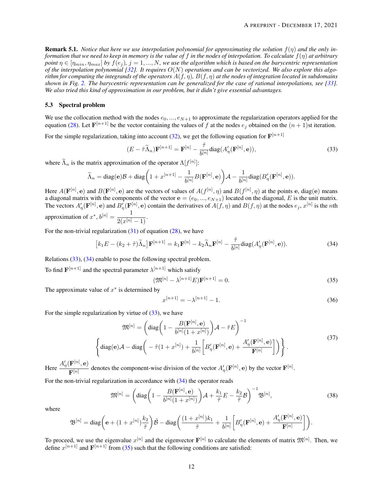Remark 5.1. *Notice that here we use interpolation polynomial for approximating the solution* f(η) *and the only information that we need to keep in memory is the value of* f *in the nodes of interpolation. To calculate* f(η) *at arbitrary point*  $\eta \in [\eta_{min}, \eta_{max}]$  *by*  $f(e_i)$ *,*  $j = 1, ..., N$ *, we use the algorithm which is based on the barycentric representation of the interpolation polynomial [\[32\]](#page-25-23). It requires* O(N) *operations and can be vectorized. We also explore this algorithm for computing the integrands of the operators*  $A(f, \eta)$ ,  $B(f, \eta)$  *at the nodes of integration located in subdomains shown in Fig. [2.](#page-6-0) The barycentric representation can be generalized for the case of rational interpolations, see [\[33\]](#page-25-24). We also tried this kind of approximation in our problem, but it didn't give essential advantages.*

#### <span id="page-11-3"></span>5.3 Spectral problem

We use the collocation method with the nodes  $e_0, ..., e_{N+1}$  to approximate the regularization operators applied for the equation [\(28\)](#page-10-0). Let  $F^{[n+1]}$  be the vector containing the values of f at the nodes  $e_j$  obtained on the  $(n + 1)$ st iteration.

For the simple regularization, taking into account [\(32\)](#page-10-1), we get the following equation for  $\mathbf{F}^{[n+1]}$ 

<span id="page-11-0"></span>
$$
(E - \tilde{\tau}\tilde{\Lambda}_n)\mathbf{F}^{[n+1]} = \mathbf{F}^{[n]} - \frac{\tilde{\tau}}{b^{[n]}} \text{diag}(A'_{\eta}(\mathbf{F}^{[n]}, \mathbf{e})),\tag{33}
$$

where  $\tilde{\Lambda}_n$  is the matrix approximation of the operator  $\Lambda[f^{[n]}]$ :

$$
\widetilde{\Lambda}_n = \text{diag}(\mathbf{e}) \mathcal{B} + \text{diag} \bigg( 1 + x^{[n+1]} - \frac{1}{b^{[n]}} B(\mathbf{F}^{[n]}, \mathbf{e}) \bigg) \mathcal{A} - \frac{1}{b^{[n]}} \text{diag}(B_\eta'(\mathbf{F}^{[n]}, \mathbf{e})).
$$

Here  $A(\mathbf{F}^{[n]}, \mathbf{e})$  and  $B(\mathbf{F}^{[n]}, \mathbf{e})$  are the vectors of values of  $A(f^{[n]}, \eta)$  and  $B(f^{[n]}, \eta)$  at the points e, diag(e) means a diagonal matrix with the components of the vector  $e = (e_0, ..., e_{N+1})$  located on the diagonal, E is the unit matrix. The vectors  $A'_\eta(\mathbf{F}^{[n]}, \mathbf{e})$  and  $B'_\eta(\mathbf{F}^{[n]}, \mathbf{e})$  contain the derivatives of  $A(f, \eta)$  and  $B(f, \eta)$  at the nodes  $e_j$ ,  $x^{[n]}$  is the nth approximation of  $x^*$ ,  $b^{[n]} = \frac{1}{2(n+1)}$  $\frac{1}{2(x^{[n]}-1)}$ .

For the non-trivial regularization  $(31)$  of equation  $(28)$ , we have

<span id="page-11-1"></span>
$$
[k_1 E - (k_2 + \tilde{\tau})\tilde{\Lambda}_n] \mathbf{F}^{[n+1]} = k_1 \mathbf{F}^{[n]} - k_2 \tilde{\Lambda}_n \mathbf{F}^{[n]} - \frac{\tilde{\tau}}{b^{[n]}} \text{diag}(A'_{\eta}(\mathbf{F}^{[n]}, \mathbf{e})).
$$
 (34)

Relations [\(33\)](#page-11-0), [\(34\)](#page-11-1) enable to pose the following spectral problem.

To find  $\mathbf{F}^{[n+1]}$  and the spectral parameter  $\lambda^{[n+1]}$  which satisfy

<span id="page-11-2"></span>
$$
(\mathfrak{M}^{[n]} - \lambda^{[n+1]} E) \mathbf{F}^{[n+1]} = 0.
$$
 (35)

The approximate value of  $x^*$  is determined by

$$
x^{[n+1]} = -\lambda^{[n+1]} - 1.
$$
\n(36)

For the simple regularization by virtue of  $(33)$ , we have

$$
\mathfrak{M}^{[n]} = \left( \text{diag}\left(1 - \frac{B(\mathbf{F}^{[n]}, \mathbf{e})}{b^{[n]}(1+x^{[n]})}\right) \mathcal{A} - \tilde{\tau} E \right)^{-1}
$$

$$
\left\{ \text{diag}(\mathbf{e}) \mathcal{A} - \text{diag}\left( -\tilde{\tau} (1+x^{[n]}) + \frac{1}{b^{[n]}} \left[ B'_{\eta}(\mathbf{F}^{[n]}, \mathbf{e}) + \frac{A'_{\eta}(\mathbf{F}^{[n]}, \mathbf{e})}{\mathbf{F}^{[n]}} \right] \right) \right\}.
$$

$$
(37)
$$

Here  $\frac{A'_\eta(\mathbf{F}^{[n]}, \mathbf{e})}{\mathbf{D}^{[n]}}$  $\frac{\mathbf{F}^{[n]}(F^{[n]})}{\mathbf{F}^{[n]}}$  denotes the component-wise division of the vector  $A'_{\eta}(\mathbf{F}^{[n]}, \mathbf{e})$  by the vector  $\mathbf{F}^{[n]}$ .

For the non-trivial regularization in accordance with [\(34\)](#page-11-1) the operator reads

$$
\mathfrak{M}^{[n]} = \left(\text{diag}\left(1 - \frac{B(\mathbf{F}^{[n]}, \mathbf{e})}{b^{[n]}(1+x^{[n]})}\right)\mathcal{A} + \frac{k_1}{\tilde{\tau}}E - \frac{k_2}{\tilde{\tau}}\mathcal{B}\right)^{-1}\mathfrak{B}^{[n]},\tag{38}
$$

where

$$
\mathfrak{B}^{[n]}=\text{diag}\bigg(\mathbf{e}+(1+x^{[n]})\frac{k_2}{\tilde{\tau}}\bigg)\tilde{\mathcal{B}}-\text{diag}\bigg(\frac{(1+x^{[n]})k_1}{\tilde{\tau}}+\frac{1}{b^{[n]}}\bigg[B'_{\eta}(\mathbf{F}^{[n]},\mathbf{e})+\frac{A'_{\eta}(\mathbf{F}^{[n]},\mathbf{e})}{\mathbf{F}^{[n]}}\bigg]\bigg).
$$

To proceed, we use the eigenvalue  $x^{[n]}$  and the eigenvector  $F^{[n]}$  to calculate the elements of matrix  $\mathfrak{M}^{[n]}$ . Then, we define  $x^{[n+1]}$  and  $\mathbf{F}^{[n+1]}$  from [\(35\)](#page-11-2) such that the following conditions are satisfied: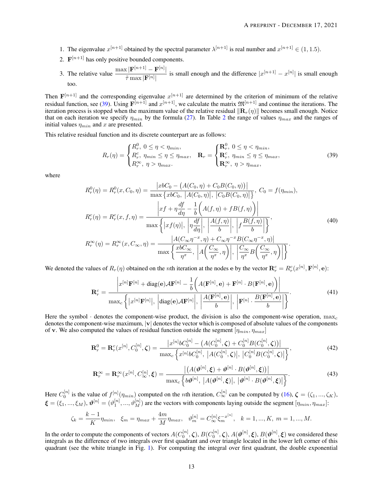- 1. The eigenvalue  $x^{[n+1]}$  obtained by the spectral parameter  $\lambda^{[n+1]}$  is real number and  $x^{[n+1]} \in (1, 1.5)$ .
- 2.  $\mathbf{F}^{[n+1]}$  has only positive bounded components.
- 3. The relative value  $\frac{\max |\mathbf{F}^{[n+1]} \mathbf{F}^{[n]}|}{\sum_{n=1}^{\infty} |\mathbf{F}^{[n]}|}$  $\frac{\bar{x}[{\bf r}^{(n)}-{\bf r}^{(n)}]}{\bar{\tau} \max |{\bf F}^{[n]}|}$  is small enough and the difference  $|x^{[n+1]} - x^{[n]}|$  is small enough too.

Then  $F^{[n+1]}$  and the corresponding eigenvalue  $x^{[n+1]}$  are determined by the criterion of minimum of the relative residual function, see [\(39\)](#page-12-0). Using  $F^{[n+1]}$  and  $x^{[n+1]}$ , we calculate the matrix  $\mathfrak{M}^{[n+1]}$  and continue the iterations. The iteration process is stopped when the maximum value of the relative residual  $\|\mathbf{R}_r(\eta)\|$  becomes small enough. Notice that on each iteration we specify  $\eta_{min}$  by the formula [\(27\)](#page-9-4). In Table [2](#page-14-0) the range of values  $\eta_{max}$  and the ranges of initial values  $\eta_{min}$  and x are presented.

This relative residual function and its discrete counterpart are as follows:

<span id="page-12-0"></span>
$$
R_r(\eta) = \begin{cases} R_r^0, & 0 \le \eta < \eta_{min}, \\ R_r^c, & \eta_{min} \le \eta \le \eta_{max}, \\ R_r^{\infty}, & \eta > \eta_{max}. \end{cases} \quad \mathbf{R}_r = \begin{cases} \mathbf{R}_r^0, & 0 \le \eta < \eta_{min}, \\ \mathbf{R}_r^c, & \eta_{min} \le \eta \le \eta_{max}, \\ \mathbf{R}_r^{\infty}, & \eta > \eta_{max}. \end{cases} \tag{39}
$$

where

$$
R_r^0(\eta) = R_r^0(x, C_0, \eta) = \frac{|x b C_0 - (A(C_0, \eta) + C_0 B(C_0, \eta))|}{\max \{x b C_0, |A(C_0, \eta)|, |C_0 B(C_0, \eta)|\}}, C_0 = f(\eta_{min}),
$$
  
\n
$$
R_r^c(\eta) = R_r^c(x, f, \eta) = \frac{|x f + \eta \frac{df}{d\eta} - \frac{1}{b}(A(f, \eta) + f B(f, \eta))|}{\max \{ |x f(\eta)|, | \eta \frac{df}{d\eta}|, |A(f, \eta)|, |f \frac{B(f, \eta)}{b}| \}}},
$$
  
\n
$$
R_r^{\infty}(\eta) = R_r^{\infty}(x, C_{\infty}, \eta) = \frac{|A(C_{\infty} \eta^{-x}, \eta) + C_{\infty} \eta^{-x} B(C_{\infty} \eta^{-x}, \eta)|}{\max \{ \frac{x b C_{\infty}}{\eta^x}, |A(\frac{C_{\infty}}{\eta^x}, \eta)|, | \frac{C_{\infty}}{\eta^x} B(\frac{C_{\infty}}{\eta^x}, \eta)| \}}.
$$
  
\n(40)

We denoted the values of  $R_r(\eta)$  obtained on the *n*th iteration at the nodes e by the vector  $\mathbf{R}_r^c = R_r^c(x^{[n]}, \mathbf{F}^{[n]}, \mathbf{e})$ :

$$
\mathbf{R}_{r}^{c} = \frac{\left|x^{[n]}\mathbf{F}^{[n]} + \text{diag}(\mathbf{e})\mathcal{A}\mathbf{F}^{[n]} - \frac{1}{b}\left(A(\mathbf{F}^{[n]}, \mathbf{e}) + \mathbf{F}^{[n]} \cdot B(\mathbf{F}^{[n]}, \mathbf{e})\right)\right|}{\max_{c} \left\{|x^{[n]}\mathbf{F}^{[n]}|, \left|\text{diag}(\mathbf{e})\mathcal{A}\mathbf{F}^{[n]}|, \left|\frac{A(\mathbf{F}^{[n]}, \mathbf{e})}{b}\right|\right\} \left|\frac{B(\mathbf{F}^{[n]}, \mathbf{e})}{b}\right|\right\}}.
$$
\n(41)

Here the symbol  $\cdot$  denotes the component-wise product, the division is also the component-wise operation, max<sub>c</sub> denotes the component-wise maximum,  $|v|$  denotes the vector which is composed of absolute values of the components of v. We also computed the values of residual function outside the segment  $[\eta_{min}, \eta_{max}]$ 

$$
\mathbf{R}_r^0 = \mathbf{R}_r^c(x^{[n]}, C_0^{[n]}, \zeta) = \frac{|x^{[n]}bC_0^{[n]} - (A(C_0^{[n]}, \zeta) + C_0^{[n]}B(C_0^{[n]}, \zeta))|}{\max_c \left\{ x^{[n]}bC_0^{[n]}, |A(C_0^{[n]}, \zeta)|, |C_0^{[n]}B(C_0^{[n]}, \zeta)| \right\}},\tag{42}
$$

$$
\mathbf{R}_r^{\infty} = \mathbf{R}_r^{\infty}(x^{[n]}, C_{\infty}^{[n]}, \xi) = \frac{\left| \left( A(\boldsymbol{\vartheta}^{[n]}, \xi) + \boldsymbol{\vartheta}^{[n]} \cdot B(\boldsymbol{\vartheta}^{[n]}, \xi) \right) \right|}{\max_c \left\{ b\boldsymbol{\vartheta}^{[n]}, \ |A(\boldsymbol{\vartheta}^{[n]}, \xi)|, \ |\boldsymbol{\vartheta}^{[n]} \cdot B(\boldsymbol{\vartheta}^{[n]}, \xi) \right\}}.
$$
(43)

Here  $C_0^{[n]}$  is the value of  $f^{[n]}(\eta_{min})$  computed on the *n*th iteration,  $C_{\infty}^{[n]}$  can be computed by [\(16\)](#page-4-4),  $\boldsymbol{\zeta} = (\zeta_1, ..., \zeta_K)$ ,  $\boldsymbol{\xi} = (\xi_1, ..., \xi_M)$ ,  $\boldsymbol{\vartheta}^{[n]} = (\vartheta_1^{[n]}, ..., \vartheta_M^{[n]})$  are the vectors with components laying outside the segment  $[\eta_{min}, \eta_{max}]$ :

$$
\zeta_k = \frac{k-1}{K} \eta_{min}, \quad \xi_m = \eta_{max} + \frac{4m}{M} \eta_{max}, \quad \vartheta_m^{[n]} = C_{\infty}^{[n]} \xi_m^{-x^{[n]}}, \quad k = 1, ..., K, \ m = 1, ..., M.
$$

In the order to compute the components of vectors  $A(C_0^{[n]},\zeta),$   $B(C_0^{[n]},\zeta),$   $A(\bm{\vartheta}^{[n]},\bm{\xi}),$   $B(\bm{\vartheta}^{[n]},\bm{\xi})$  we considered these integrals as the difference of two integrals over first quadrant and over triangle located in the lower left corner of this quadrant (see the white triangle in Fig. [1\)](#page-5-0). For computing the integral over first quadrant, the double exponential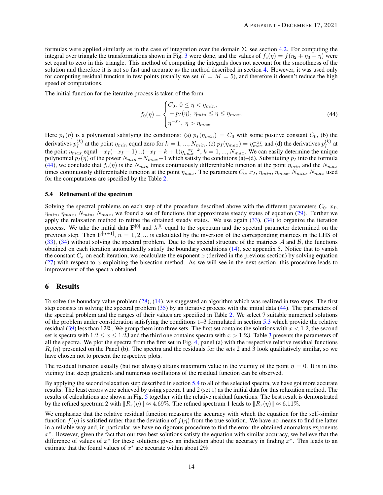formulas were applied similarly as in the case of integration over the domain  $\Sigma$ , see section [4.2.](#page-7-2) For computing the integral over triangle the transformations shown in Fig. [3](#page-7-0) were done, and the values of  $f_c(\eta) = f(\eta_2 + \eta_3 - \eta)$  were set equal to zero in this triangle. This method of computing the integrals does not account for the smoothness of the solution and therefore it is not so fast and accurate as the method described in section [4.](#page-5-3) However, it was used only for computing residual function in few points (usually we set  $K = M = 5$ ), and therefore it doesn't reduce the high speed of computations.

The initial function for the iterative process is taken of the form

<span id="page-13-1"></span>
$$
f_0(\eta) = \begin{cases} C_0, & 0 \le \eta < \eta_{min}, \\ -p_I(\eta), & \eta_{min} \le \eta \le \eta_{max}, \\ \eta^{-x_I}, & \eta > \eta_{max}. \end{cases} \tag{44}
$$

Here  $p_I(\eta)$  is a polynomial satisfying the conditions: (a)  $p_I(\eta_{min}) = C_0$  with some positive constant  $C_0$ , (b) the derivatives  $p_I^{(k)}$  $I_I^{(k)}$  at the point  $\eta_{min}$  equal zero for  $k = 1, ..., N_{min}$ , (c)  $p_I(\eta_{max}) = \eta_{max}^{-x_I}$  and (d) the derivatives  $p_I^{(k)}$  $I^{(\kappa)}$  at the point  $\eta_{max}$  equal  $-x_I(-x_I-1)...(-x_I-k+1)\eta_{max}^{-x_I-k}$ ,  $k=1,...,N_{max}$ . We can easily determine the unique polynomial  $p_I(\eta)$  of the power  $N_{min}+N_{max}+1$  which satisfy the conditions (a)–(d). Substituting  $p_I$  into the formula [\(44\)](#page-13-1), we conclude that  $f_0(\eta)$  is the  $N_{min}$  times continuously differentiable function at the point  $\eta_{min}$  and the  $N_{max}$ times continuously differentiable function at the point  $\eta_{max}$ . The parameters  $C_0$ ,  $x_I$ ,  $\eta_{min}$ ,  $\eta_{max}$ ,  $N_{min}$ ,  $N_{max}$  used for the computations are specified by the Table [2.](#page-14-0)

#### <span id="page-13-2"></span>5.4 Refinement of the spectrum

Solving the spectral problems on each step of the procedure described above with the different parameters  $C_0$ ,  $x_I$ ,  $\eta_{min}, \eta_{max}, \overline{N}_{min}, \overline{N}_{max}$ , we found a set of functions that approximate steady states of equation [\(29\)](#page-10-3). Further we apply the relaxation method to refine the obtained steady states. We use again [\(33\)](#page-11-0), [\(34\)](#page-11-1) to organize the iteration process. We take the initial data  $F^{[0]}$  and  $\lambda^{[0]}$  equal to the spectrum and the spectral parameter determined on the previous step. Then  $F^{[n+1]}$ ,  $n = 1, 2, ...$  is calculated by the inversion of the corresponding matrices in the LHS of [\(33\)](#page-11-0), [\(34\)](#page-11-1) without solving the spectral problem. Due to the special structure of the matrices  $A$  and  $B$ , the functions obtained on each iteration automatically satisfy the boundary conditions [\(14\)](#page-4-2), see appendix 5. Notice that to vanish the constant  $C_a$  on each iteration, we recalculate the exponent x (derived in the previous section) by solving equation  $(27)$  with respect to x exploiting the bisection method. As we will see in the next section, this procedure leads to improvement of the spectra obtained.

#### <span id="page-13-0"></span>6 Results

To solve the boundary value problem [\(28\)](#page-10-0), [\(14\)](#page-4-2), we suggested an algorithm which was realized in two steps. The first step consists in solving the spectral problem [\(35\)](#page-11-2) by an iterative process with the initial data [\(44\)](#page-13-1). The parameters of the spectral problem and the ranges of their values are specified in Table [2.](#page-14-0) We select 7 suitable numerical solutions of the problem under consideration satisfying the conditions 1–3 formulated in section [5.3](#page-11-3) which provide the relative residual [\(39\)](#page-12-0) less than 12%. We group them into three sets. The first set contains the solutions with  $x < 1.2$ , the second set is spectra with  $1.2 \le x \le 1.23$  $1.2 \le x \le 1.23$  and the third one contains spectra with  $x > 1.23$ . Table 3 presents the parameters of all the spectra. We plot the spectra from the first set in Fig.  $4$ , panel (a) with the respective relative residual functions  $R_r(\eta)$  presented on the Panel (b). The spectra and the residuals for the sets 2 and 3 look qualitatively similar, so we have chosen not to present the respective plots.

The residual function usually (but not always) attains maximum value in the vicinity of the point  $\eta = 0$ . It is in this vicinity that steep gradients and numerous oscillations of the residual function can be observed.

By applying the second relaxation step described in section [5.4](#page-13-2) to all of the selected spectra, we have got more accurate results. The least errors were achieved by using spectra 1 and 2 (set 1) as the initial data for this relaxation method. The results of calculations are shown in Fig. [5](#page-15-0) together with the relative residual functions. The best result is demonstrated by the refined spectrum 2 with  $||R_r(\eta)|| \approx 4.69\%$ . The refined spectrum 1 leads to  $||R_r(\eta)|| \approx 6.11\%$ .

We emphasize that the relative residual function measures the accuracy with which the equation for the self-similar function  $f(\eta)$  is satisfied rather than the deviation of  $f(\eta)$  from the true solution. We have no means to find the latter in a reliable way and, in particular, we have no rigorous procedure to find the error the obtained anomalous exponents  $x^*$ . However, given the fact that our two best solutions satisfy the equation with similar accuracy, we believe that the difference of values of  $x^*$  for these solutions gives an indication about the accuracy in finding  $x^*$ . This leads to an estimate that the found values of  $x^*$  are accurate within about 2%.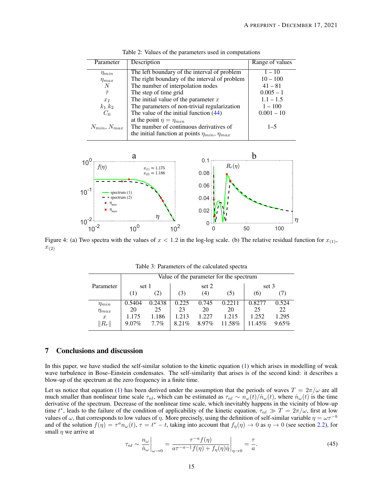<span id="page-14-0"></span>

| Parameter          | Description                                             | Range of values |
|--------------------|---------------------------------------------------------|-----------------|
|                    |                                                         |                 |
| $\eta_{min}$       | The left boundary of the interval of problem            | $1 - 10$        |
| $\eta_{max}$       | The right boundary of the interval of problem           | $10 - 100$      |
| N                  | The number of interpolation nodes                       | $41 - 81$       |
| $\tilde{\tau}$     | The step of time grid                                   | $0.005 - 1$     |
| $x_I$              | The initial value of the parameter $x$                  | $1.1 - 1.5$     |
| $k_1 k_2$          | The parameters of non-trivial regularization            | $1 - 100$       |
| $C_0$              | The value of the initial function $(44)$                | $0.001 - 10$    |
|                    | at the point $\eta = \eta_{min}$                        |                 |
| $N_{min}, N_{max}$ | The number of continuous derivatives of                 | $1 - 5$         |
|                    | the initial function at points $\eta_{min}, \eta_{max}$ |                 |

Table 2: Values of the parameters used in computations

<span id="page-14-2"></span>

<span id="page-14-1"></span>Figure 4: (a) Two spectra with the values of  $x < 1.2$  in the log-log scale. (b) The relative residual function for  $x_{(1)}$ ,  $x_{(2)}$ 

|                  | Value of the parameter for the spectrum |        |       |       |        |        |       |  |
|------------------|-----------------------------------------|--------|-------|-------|--------|--------|-------|--|
| Parameter        | set 1                                   |        | set 2 |       |        | set 3  |       |  |
|                  | $\left(1\right)$                        | (2)    | (3)   | (4)   | (5)    | (6)    |       |  |
| $\eta_{min}$     | 0.5404                                  | 0.2438 | 0.225 | 0.745 | 0.2211 | 0.8277 | 0.524 |  |
| $\eta_{max}$     | 20                                      | 25     | 23    | 20    | 20     | 25     | 22    |  |
| $\boldsymbol{x}$ | 1.175                                   | 1.186  | 1.213 | 1.227 | 1.215  | 1.252  | 1.295 |  |
| $\ R_r\ $        | $9.07\%$                                | 7.7%   | 8.21% | 8.97% | 11.58% | 11.45% | 9.65% |  |

Table 3: Parameters of the calculated spectra

# 7 Conclusions and discussion

In this paper, we have studied the self-similar solution to the kinetic equation [\(1\)](#page-0-0) which arises in modelling of weak wave turbulence in Bose–Einstein condensates. The self-similarity that arises is of the second kind: it describes a blow-up of the spectrum at the zero frequency in a finite time.

Let us notice that equation [\(1\)](#page-0-0) has been derived under the assumption that the periods of waves  $T = 2\pi/\omega$  are all much smaller than nonlinear time scale  $\tau_{nl}$ , which can be estimated as  $\tau_{nl} \sim n_{\omega}(t)/\dot{n}_{\omega}(t)$ , where  $\dot{n}_{\omega}(t)$  is the time derivative of the spectrum. Decrease of the nonlinear time scale, which inevitably happens in the vicinity of blow-up time  $t^*$ , leads to the failure of the condition of applicability of the kinetic equation,  $\tau_{nl} \gg T = 2\pi/\omega$ , first at low values of  $\omega$ , that corresponds to low values of  $\eta$ . More precisely, using the definition of self-similar variable  $\eta = \omega \tau^{-b}$ and of the solution  $f(\eta) = \tau^a n_\omega(t)$ ,  $\tau = t^* - t$ , taking into account that  $f_\eta(\eta) \to 0$  as  $\eta \to 0$  (see section [2.2\)](#page-3-3), for small  $\eta$  we arrive at

$$
\tau_{nl} \sim \frac{n_{\omega}}{\dot{n}_{\omega}}\bigg|_{\omega \to 0} = \frac{\tau^{-a}f(\eta)}{a\tau^{-a-1}f(\eta) + f_{\eta}(\eta)\dot{\eta}}\bigg|_{\eta \to 0} = \frac{\tau}{a}.
$$
\n(45)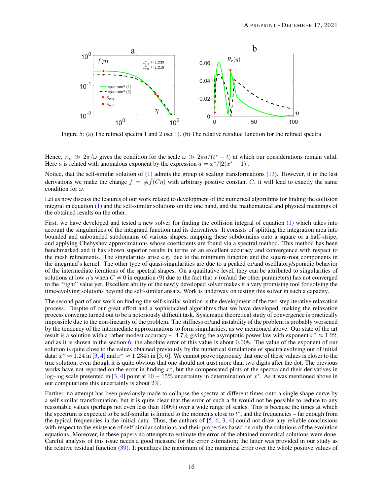<span id="page-15-0"></span>

Figure 5: (a) The refined spectra 1 and 2 (set 1). (b) The relative residual function for the refined spectra

Hence,  $\tau_{nl} \gg 2\pi/\omega$  gives the condition for the scale  $\omega \gg 2\pi a/(t^* - t)$  at which our considerations remain valid. Here *a* is related with anomalous exponent by the expression  $a = x^*/[2(x^* - 1)]$ .

Notice, that the self-similar solution of [\(1\)](#page-0-0) admits the group of scaling transformations [\(13\)](#page-4-5). However, if in the last derivations we make the change  $f = \frac{1}{C}\hat{f}(C\eta)$  with arbitrary positive constant C, it will lead to exactly the same condition for  $\omega$ .

Let us now discuss the features of our work related to development of the numerical algorithms for finding the collision integral in equation [\(1\)](#page-0-0) and the self-similar solutions on the one hand, and the mathematical and physical meanings of the obtained results on the other.

First, we have developed and tested a new solver for finding the collision integral of equation [\(1\)](#page-0-0) which takes into account the singularities of the integrand function and its derivatives. It consists of splitting the integration area into bounded and unbounded subdomains of various shapes, mapping these subdomains onto a square or a half-stripe, and applying Chebyshev approximations whose coefficients are found via a spectral method. This method has been benchmarked and it has shown superior results in terms of an excellent accuracy and convergence with respect to the mesh refinements. The singularities arise e.g. due to the minimum function and the square-root components in the integrand's kernel. The other type of quasi-singularities are due to a peaked or/and oscillatory/sporadic behavior of the intermediate iterations of the spectral shapes. On a qualitative level, they can be attributed to singularities of solutions at low  $\eta$ 's when  $C \neq 0$  in equation [\(9\)](#page-3-2) due to the fact that x (or/and the other parameters) has not converged to the "right" value yet. Excellent ability of the newly developed solver makes it a very promising tool for solving the time-evolving solutions beyond the self-similar ansatz. Work is underway on testing this solver in such a capacity.

The second part of our work on finding the self-similar solution is the development of the two-step iterative relaxation process. Despite of our great effort and a sophisticated algorithms that we have developed, making the relaxation process converge turned out to be a notoriously difficult task. Systematic theoretical study of convergence is practically impossible due to the non-linearity of the problem. The stiffness or/and instability of the problem is probably worsened by the tendency of the intermediate approximations to form singularities, as we mentioned above. Our state of the art result is a solution with a rather modest accuracy  $\sim 4.7\%$  giving the asymptotic power law with exponent  $x^* \approx 1.22$ , and as it is shown in the section [6,](#page-13-0) the absolute error of this value is about 0.008. The value of the exponent of our solution is quite close to the values obtained previously by the numerical simulations of spectra evolving out of initial data:  $x^* \approx 1.24$  in [\[3,](#page-24-2) [4\]](#page-24-3) and  $x^* \approx 1.2345$  in [\[5,](#page-24-4) [6\]](#page-24-5). We cannot prove rigorously that one of these values is closer to the true solution, even though it is quite obvious that one should not trust more than two digits after the dot. The previous works have not reported on the error in finding  $x^*$ , but the compensated plots of the spectra and their derivatives in log–log scale presented in [\[3,](#page-24-2) [4\]](#page-24-3) point at  $10-15\%$  uncertainty in determination of  $x^*$ . As it was mentioned above in our computations this uncertainly is about 2%.

Further, no attempt has been previously made to collapse the spectra at different times onto a single shape curve by a self-similar transformation, but it is quite clear that the error of such a fit would not be possible to reduce to any reasonable values (perhaps not even less than 100%) over a wide range of scales. This is because the times at which the spectrum is expected to be self-similar is limited to the moments close to  $t^*$ , and the frequencies – far enough from the typical frequencies in the initial data. Thus, the authors of  $[5, 6, 3, 4]$  $[5, 6, 3, 4]$  $[5, 6, 3, 4]$  $[5, 6, 3, 4]$  $[5, 6, 3, 4]$  $[5, 6, 3, 4]$  $[5, 6, 3, 4]$  could not draw any reliable conclusions with respect to the existence of self-similar solutions and their properties based on only the solutions of the evolution equations. Moreover, in these papers no attempts to estimate the error of the obtained numerical solutions were done. Careful analysis of this issue needs a good measure for the error estimation; the latter was provided in our study as the relative residual function [\(39\)](#page-12-0). It penalizes the maximum of the numerical error over the whole positive values of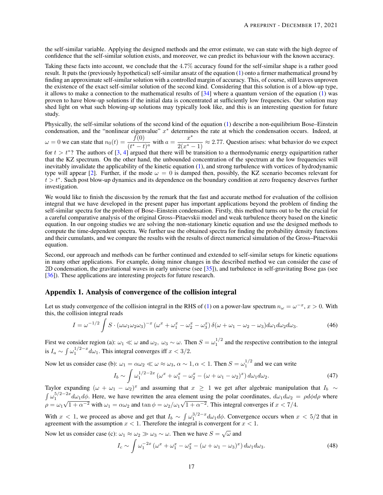the self-similar variable. Applying the designed methods and the error estimate, we can state with the high degree of confidence that the self-similar solution exists, and moreover, we can predict its behaviour with the known accuracy.

Taking these facts into account, we conclude that the 4.7% accuracy found for the self-similar shape is a rather good result. It puts the (previously hypothetical) self-similar ansatz of the equation [\(1\)](#page-0-0) onto a firmer mathematical ground by finding an approximate self-similar solution with a controlled margin of accuracy. This, of course, still leaves unproven the existence of the exact self-similar solution of the second kind. Considering that this solution is of a blow-up type, it allows to make a connection to the mathematical results of [\[34\]](#page-25-25) where a quantum version of the equation [\(1\)](#page-0-0) was proven to have blow-up solutions if the initial data is concentrated at sufficiently low frequencies. Our solution may shed light on what such blowing-up solutions may typically look like, and this is an interesting question for future study.

Physically, the self-similar solutions of the second kind of the equation [\(1\)](#page-0-0) describe a non-equilibrium Bose–Einstein condensation, and the "nonlinear eigenvalue"  $x^*$  determines the rate at which the condensation occurs. Indeed, at

 $\omega = 0$  we can state that  $n_0(t) = \frac{\tilde{f}(0)}{(t^* - t)^a}$  with  $a = \frac{x^*}{2(x^* - t)^a}$  $\frac{x}{2(x^*-1)} \approx 2.77$ . Question arises: what behavior do we expect

for  $t > t^*$ ? The authors of [\[3,](#page-24-2) [4\]](#page-24-3) argued that there will be transition to a thermodynamic energy equipartition rather that the KZ spectrum. On the other hand, the unbounded concentration of the spectrum at the low frequencies will inevitably invalidate the applicability of the kinetic equation [\(1\)](#page-0-0), and strong turbulence with vortices of hydrodynamic type will appear [\[2\]](#page-24-1). Further, if the mode  $\omega = 0$  is damped then, possibly, the KZ scenario becomes relevant for  $t > t^*$ . Such post blow-up dynamics and its dependence on the boundary condition at zero frequency deserves further investigation.

We would like to finish the discussion by the remark that the fast and accurate method for evaluation of the collision integral that we have developed in the present paper has important applications beyond the problem of finding the self-similar spectra for the problem of Bose–Einstein condensation. Firstly, this method turns out to be the crucial for a careful comparative analysis of the original Gross–Pitaevskii model and weak turbulence theory based on the kinetic equation. In our ongoing studies we are solving the non-stationary kinetic equation and use the designed methods to compute the time-dependent spectra. We further use the obtained spectra for finding the probability density functions and their cumulants, and we compare the results with the results of direct numerical simulation of the Gross–Pitaevskii equation.

Second, our approach and methods can be further continued and extended to self-similar setups for kinetic equations in many other applications. For example, doing minor changes in the described method we can consider the case of 2D condensation, the gravitational waves in early universe (see [\[35\]](#page-26-0)), and turbulence in self-gravitating Bose gas (see [\[36\]](#page-26-1)). These applications are interesting projects for future research.

# Appendix 1. Analysis of convergence of the collision integral

Let us study convergence of the collision integral in the RHS of [\(1\)](#page-0-0) on a power-law spectrum  $n_\omega = \omega^{-x}$ ,  $x > 0$ . With this, the collision integral reads

$$
I = \omega^{-1/2} \int S \cdot (\omega \omega_1 \omega_2 \omega_3)^{-x} \left( \omega^x + \omega_1^x - \omega_2^x - \omega_3^x \right) \delta(\omega + \omega_1 - \omega_2 - \omega_3) d\omega_1 d\omega_2 d\omega_3. \tag{46}
$$

First we consider region (a):  $\omega_1 \ll \omega$  and  $\omega_2$ ,  $\omega_3 \sim \omega$ . Then  $S = \omega_1^{1/2}$  and the respective contribution to the integral is  $I_a \sim \int \omega_1^{1/2-x} d\omega_1$ . This integral converges iff  $x < 3/2$ .

Now let us consider case (b):  $\omega_1 = \alpha \omega_2 \ll \omega \approx \omega_3$ ,  $\alpha \sim 1$ ,  $\alpha < 1$ . Then  $S = \omega_1^{1/2}$  and we can write

$$
I_b \sim \int \omega_1^{1/2 - 2x} \left( \omega^x + \omega_1^x - \omega_2^x - \left( \omega + \omega_1 - \omega_2 \right)^x \right) d\omega_1 d\omega_2.
$$
 (47)

Taylor expanding  $(\omega + \omega_1 - \omega_2)^x$  and assuming that  $x \ge 1$  we get after algebraic manipulation that  $I_b \sim$  $\int \omega_1^{5/2-2x} d\omega_1 d\phi$ . Here, we have rewritten the area element using the polar coordinates,  $d\omega_1 d\omega_2 = \rho d\phi d\rho$  where  $\rho = \omega_1 \sqrt{1 + \alpha^{-2}}$  with  $\omega_1 = \alpha \omega_2$  and  $\tan \phi = \omega_2/\omega_1 \sqrt{1 + \alpha^{-2}}$ . This integral converges if  $x < 7/4$ .

With  $x < 1$ , we proceed as above and get that  $I_b \sim \int \omega_1^{3/2-x} d\omega_1 d\phi$ . Convergence occurs when  $x < 5/2$  that in agreement with the assumption  $x < 1$ . Therefore the integral is convergent for  $x < 1$ .

Now let us consider case (c):  $\omega_1 \approx \omega_2 \gg \omega_3 \sim \omega$ . Then we have  $S = \sqrt{\omega}$  and

$$
I_c \sim \int \omega_1^{-2x} \left(\omega^x + \omega_1^x - \omega_3^x - (\omega + \omega_1 - \omega_3)^x\right) d\omega_1 d\omega_3. \tag{48}
$$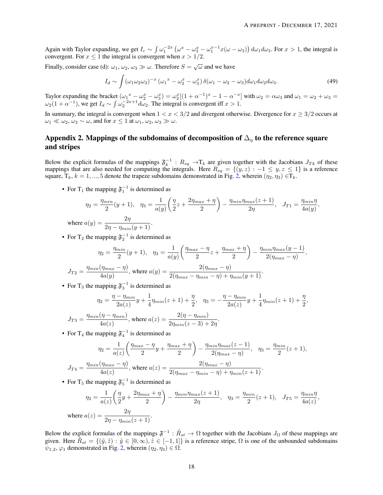,

Again with Taylor expanding, we get  $I_c \sim \int \omega_1^{-2x} (\omega^x - \omega_3^x - \omega_1^{x-1} x(\omega - \omega_3)) d\omega_1 d\omega_3$ . For  $x > 1$ , the integral is convergent. For  $x \le 1$  the integral is convergent when  $x > 1/2$ .

Finally, consider case (d):  $\omega_1$ ,  $\omega_2$ ,  $\omega_3 \gg \omega$ . Therefore  $S = \sqrt{\omega}$  and we have

$$
I_d \sim \int (\omega_1 \omega_2 \omega_3)^{-x} \left( \omega_1^x - \omega_2^x - \omega_3^x \right) \delta(\omega_1 - \omega_2 - \omega_3) d\omega_1 d\omega_2 d\omega_3. \tag{49}
$$

Taylor expanding the bracket  $(\omega_1^x - \omega_2^x - \omega_3^x) = \omega_2^x[(1 + \alpha^{-1})^x - 1 - \alpha^{-x}]$  with  $\omega_2 = \alpha \omega_3$  and  $\omega_1 = \omega_2 + \omega_3 =$  $\omega_2(1+\alpha^{-1})$ , we get  $I_d \sim \int \omega_2^{-2x+1} d\omega_2$ . The integral is convergent iff  $x > 1$ .

In summary, the integral is convergent when  $1 < x < 3/2$  and divergent otherwise. Divergence for  $x \ge 3/2$  occurs at  $\omega_1 \ll \omega_2, \omega_3 \sim \omega$ , and for  $x \leq 1$  at  $\omega_1, \omega_2, \omega_3 \gg \omega$ .

# Appendix 2. Mappings of the subdomains of decomposition of  $\Delta_{\eta}$  to the reference square and stripes

Below the explicit formulas of the mappings  $\mathfrak{F}_k^{-1}$ :  $R_{sq} \to T_k$  are given together with the Jacobians  $J_{Tk}$  of these mappings that are also needed for computing the integrals. Here  $R_{sq} = \{(y, z) : -1 \leq y, z \leq 1\}$  is a reference square,  $T_k$ ,  $k = 1, ..., 5$  denote the trapeze subdomains demonstrated in Fig. [2,](#page-6-0) wherein  $(\eta_2, \eta_3) \in T_k$ .

• For T<sub>1</sub> the mapping  $\mathfrak{F}_1^{-1}$  is determined as

$$
\eta_2 = \frac{\eta_{min}}{2}(y+1), \quad \eta_3 = \frac{1}{a(y)} \left(\frac{\eta}{2}z + \frac{2\eta_{max} + \eta}{2}\right) - \frac{\eta_{min}\eta_{max}(z+1)}{2\eta}, \quad J_{T1} = \frac{\eta_{min}\eta}{4a(y)},
$$
  
where  $a(y) = \frac{2\eta}{2x - y - (y+1)}$ .

 $2\eta - \eta_{min}(y+1)$ 

• For T<sub>2</sub> the mapping  $\mathfrak{F}_2^{-1}$  is determined as

$$
\eta_2 = \frac{\eta_{min}}{2}(y+1), \quad \eta_3 = \frac{1}{a(y)} \left( \frac{\eta_{max} - \eta}{2} z + \frac{\eta_{max} + \eta}{2} \right) - \frac{\eta_{min} \eta_{max}(y-1)}{2(\eta_{max} - \eta)}
$$

$$
J_{T2} = \frac{\eta_{min}(\eta_{max} - \eta)}{4a(y)}, \text{ where } a(y) = \frac{2(\eta_{max} - \eta)}{2(\eta_{max} - \eta_{min} - \eta) + \eta_{min}(y+1)}.
$$

• For T<sub>3</sub> the mapping  $\mathfrak{F}_3^{-1}$  is determined as

$$
\eta_2 = \frac{\eta - \eta_{min}}{2a(z)} y + \frac{1}{4} \eta_{min}(z+1) + \frac{\eta}{2}, \quad \eta_3 = -\frac{\eta - \eta_{min}}{2a(z)} y + \frac{1}{4} \eta_{min}(z+1) + \frac{\eta}{2},
$$

$$
J_{T3} = \frac{\eta_{min}(\eta - \eta_{min})}{4a(z)}, \text{ where } a(z) = \frac{2(\eta - \eta_{min})}{2\eta_{min}(z - 3) + 2\eta}.
$$

• For T<sub>4</sub> the mapping  $\mathfrak{F}_4^{-1}$  is determined as

$$
\eta_2 = \frac{1}{a(z)} \left( \frac{\eta_{max} - \eta}{2} y + \frac{\eta_{max} + \eta}{2} \right) - \frac{\eta_{min} \eta_{max}(z - 1)}{2(\eta_{max} - \eta)}, \quad \eta_3 = \frac{\eta_{min}}{2}(z + 1),
$$

$$
J_{T4} = \frac{\eta_{min}(\eta_{max} - \eta)}{4a(z)}, \text{ where } a(z) = \frac{2(\eta_{max} - \eta)}{2(\eta_{max} - \eta_{min} - \eta) + \eta_{min}(z + 1)}.
$$

• For T<sub>5</sub> the mapping  $\mathfrak{F}_5^{-1}$  is determined as

$$
\eta_2 = \frac{1}{a(z)} \left( \frac{\eta}{2} y + \frac{2\eta_{max} + \eta}{2} \right) - \frac{\eta_{min} \eta_{max}(z+1)}{2\eta}, \quad \eta_3 = \frac{\eta_{min}}{2} (z+1), \quad J_{T5} = \frac{\eta_{min} \eta}{4a(z)},
$$
  
where 
$$
a(z) = \frac{2\eta}{2\eta - \eta_{min}(z+1)}.
$$

Below the explicit formulas of the mappings  $\mathfrak{F}^{-1}$  :  $\tilde{R}_{st} \to \Omega$  together with the Jacobians  $J_{\Omega}$  of these mappings are given. Here  $\tilde{R}_{st} = \{(\tilde{y}, \tilde{z}) : \tilde{y} \in [0, \infty), \tilde{z} \in [-1, 1]\}$  is a reference stripe,  $\Omega$  is one of the unbounded subdomains  $\psi_{1,2}, \varphi_1$  demonstrated in Fig. [2,](#page-6-0) wherein  $(\eta_2, \eta_3) \in \Omega$ .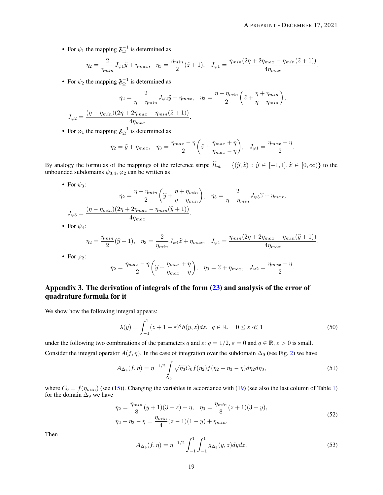• For  $\psi_1$  the mapping  $\mathfrak{F}_{\Omega}^{-1}$  is determined as

$$
\eta_2 = \frac{2}{\eta_{min}} J_{\psi 1} \tilde{y} + \eta_{max}, \quad \eta_3 = \frac{\eta_{min}}{2} (\tilde{z} + 1), \quad J_{\psi 1} = \frac{\eta_{min}(2\eta + 2\eta_{max} - \eta_{min}(\tilde{z} + 1))}{4\eta_{max}}.
$$

• For  $\psi_2$  the mapping  $\mathfrak{F}_{\Omega}^{-1}$  is determined as

$$
\eta_2 = \frac{2}{\eta - \eta_{min}} J_{\psi 2} \tilde{y} + \eta_{max}, \quad \eta_3 = \frac{\eta - \eta_{min}}{2} \left( \tilde{z} + \frac{\eta + \eta_{min}}{\eta - \eta_{min}} \right),
$$

$$
J_{\psi 2} = \frac{(\eta - \eta_{min})(2\eta + 2\eta_{max} - \eta_{min}(\tilde{z} + 1))}{4\eta_{max}}.
$$

• For  $\varphi_1$  the mapping  $\mathfrak{F}_{\Omega}^{-1}$  is determined as

$$
\eta_2 = \tilde{y} + \eta_{max}, \quad \eta_3 = \frac{\eta_{max} - \eta}{2} \left( \tilde{z} + \frac{\eta_{max} + \eta}{\eta_{max} - \eta} \right), \quad J_{\varphi 1} = \frac{\eta_{max} - \eta}{2}.
$$

By analogy the formulas of the mappings of the reference stripe  $\hat{R}_{st} = \{(\hat{y}, \hat{z}) : \hat{y} \in [-1, 1], \hat{z} \in [0, \infty)\}\$  to the unbounded subdomains  $\psi_{3,4}$ ,  $\varphi_2$  can be written as

• For  $\psi_3$ :

$$
\eta_2 = \frac{\eta - \eta_{min}}{2} \left( \hat{y} + \frac{\eta + \eta_{min}}{\eta - \eta_{min}} \right), \quad \eta_3 = \frac{2}{\eta - \eta_{min}} J_{\psi 3} \hat{z} + \eta_{max},
$$

$$
J_{\psi 3} = \frac{(\eta - \eta_{min})(2\eta + 2\eta_{max} - \eta_{min}(\hat{y} + 1))}{4\eta_{max}}.
$$

• For  $\psi_4$ :

$$
\eta_2 = \frac{\eta_{min}}{2}(\widehat{y}+1), \quad \eta_3 = \frac{2}{\eta_{min}} J_{\psi 4} \widehat{z} + \eta_{max}, \quad J_{\psi 4} = \frac{\eta_{min}(2\eta + 2\eta_{max} - \eta_{min}(\widehat{y}+1))}{4\eta_{max}}.
$$

• For  $\varphi_2$ :

$$
\eta_2 = \frac{\eta_{max} - \eta}{2} \left( \widehat{y} + \frac{\eta_{max} + \eta}{\eta_{max} - \eta} \right), \quad \eta_3 = \widehat{z} + \eta_{max}, \quad J_{\varphi 2} = \frac{\eta_{max} - \eta}{2}.
$$

# Appendix 3. The derivation of integrals of the form  $(23)$  and analysis of the error of quadrature formula for it

We show how the following integral appears:

<span id="page-18-0"></span>
$$
\lambda(y) = \int_{-1}^{1} (z+1+\varepsilon)^q h(y,z) dz, \ q \in \mathbb{R}, \quad 0 \le \varepsilon \ll 1
$$
 (50)

under the following two combinations of the parameters q and  $\varepsilon$ :  $q = 1/2$ ,  $\varepsilon = 0$  and  $q \in \mathbb{R}$ ,  $\varepsilon > 0$  is small. Consider the integral operator  $A(f, \eta)$ . In the case of integration over the subdomain  $\Delta_9$  (see Fig. [2\)](#page-6-0) we have

$$
A_{\Delta_9}(f,\eta) = \eta^{-1/2} \int_{\Delta_9} \sqrt{\eta_3} C_0 f(\eta_2) f(\eta_2 + \eta_3 - \eta) d\eta_2 d\eta_3,
$$
 (51)

where  $C_0 = f(\eta_{min})$  (see [\(15\)](#page-4-3)). Changing the variables in accordance with [\(19\)](#page-7-3) (see also the last column of Table [1\)](#page-7-1) for the domain  $\Delta_9$  we have

$$
\eta_2 = \frac{\eta_{min}}{8}(y+1)(3-z) + \eta, \quad \eta_3 = \frac{\eta_{min}}{8}(z+1)(3-y),
$$
  
\n
$$
\eta_2 + \eta_3 - \eta = \frac{\eta_{min}}{4}(z-1)(1-y) + \eta_{min}.
$$
\n(52)

Then

$$
A_{\Delta_9}(f,\eta) = \eta^{-1/2} \int_{-1}^1 \int_{-1}^1 g_{\Delta_9}(y,z) dydz,
$$
\n(53)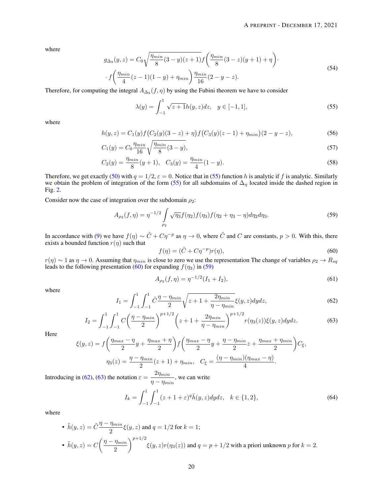where

$$
g_{\Delta_9}(y, z) = C_0 \sqrt{\frac{\eta_{min}}{8} (3 - y)(z + 1)} f\left(\frac{\eta_{min}}{8} (3 - z)(y + 1) + \eta\right).
$$
  
 
$$
f\left(\frac{\eta_{min}}{4} (z - 1)(1 - y) + \eta_{min}\right) \frac{\eta_{min}}{16} (2 - y - z).
$$
 (54)

Therefore, for computing the integral  $A_{\Delta_9}(f, \eta)$  by using the Fubini theorem we have to consider

<span id="page-19-1"></span>
$$
\lambda(y) = \int_{-1}^{1} \sqrt{z+1} h(y, z) dz, \quad y \in [-1, 1],
$$
\n(55)

where

$$
h(y,z) = C_1(y)f\big(C_2(y)(3-z) + \eta\big)f\big(C_3(y)(z-1) + \eta_{min}\big)(2-y-z),\tag{56}
$$

$$
C_1(y) = C_0 \frac{\eta_{min}}{16} \sqrt{\frac{\eta_{min}}{8} (3 - y)},
$$
\n(57)

$$
C_2(y) = \frac{\eta_{min}}{8}(y+1), \quad C_3(y) = \frac{\eta_{min}}{4}(1-y).
$$
\n(58)

Therefore, we get exactly [\(50\)](#page-18-0) with  $q = 1/2$ ,  $\varepsilon = 0$ . Notice that in [\(55\)](#page-19-1) function h is analytic if f is analytic. Similarly we obtain the problem of integration of the form [\(55\)](#page-19-1) for all subdomains of  $\Delta_{\eta}$  located inside the dashed region in Fig. [2.](#page-6-0)

Consider now the case of integration over the subdomain  $\rho_2$ :

<span id="page-19-3"></span>
$$
A_{\rho_2}(f,\eta) = \eta^{-1/2} \int_{\rho_2} \sqrt{\eta_3} f(\eta_2) f(\eta_3) f(\eta_2 + \eta_3 - \eta) d\eta_2 d\eta_3.
$$
 (59)

In accordance with [\(9\)](#page-3-2) we have  $f(\eta) \sim \tilde{C} + C\eta^{-p}$  as  $\eta \to 0$ , where  $\tilde{C}$  and  $C$  are constants,  $p > 0$ . With this, there exists a bounded function  $r(\eta)$  such that

<span id="page-19-2"></span>
$$
f(\eta) = (\tilde{C} + C\eta^{-p})r(\eta),\tag{60}
$$

 $r(\eta) \sim 1$  as  $\eta \to 0$ . Assuming that  $\eta_{min}$  is close to zero we use the representation The change of variables  $\rho_2 \to R_{sq}$ leads to the following presentation [\(60\)](#page-19-2) for expanding  $f(\eta_3)$  in [\(59\)](#page-19-3)

$$
A_{\rho_2}(f,\eta) = \eta^{-1/2}(I_1 + I_2),\tag{61}
$$

where

<span id="page-19-4"></span>
$$
I_1 = \int_{-1}^{1} \int_{-1}^{1} \tilde{C} \frac{\eta - \eta_{min}}{2} \sqrt{z + 1 + \frac{2\eta_{min}}{\eta - \eta_{min}}} \xi(y, z) dy dz,
$$
 (62)

<span id="page-19-5"></span>
$$
I_2 = \int_{-1}^{1} \int_{-1}^{1} C\left(\frac{\eta - \eta_{min}}{2}\right)^{p+1/2} \left(z + 1 + \frac{2\eta_{min}}{\eta - \eta_{min}}\right)^{p+1/2} r(\eta_3(z))\xi(y, z) dy dz.
$$
 (63)

Here

$$
\xi(y,z) = f\left(\frac{\eta_{max} - \eta}{2}y + \frac{\eta_{max} + \eta}{2}\right) f\left(\frac{\eta_{max} - \eta}{2}y + \frac{\eta - \eta_{min}}{2}z + \frac{\eta_{max} + \eta_{min}}{2}\right) C_{\xi},
$$

$$
\eta_3(z) = \frac{\eta - \eta_{min}}{2}(z+1) + \eta_{min}, \quad C_{\xi} = \frac{(\eta - \eta_{min})(\eta_{max} - \eta)}{4}.
$$

Introducing in [\(62\)](#page-19-4), [\(63\)](#page-19-5) the notation  $\varepsilon = \frac{2\eta_{min}}{2\eta_{min}}$  $\frac{2\eta m m}{\eta - \eta_{min}}$ , we can write

<span id="page-19-0"></span>
$$
I_k = \int_{-1}^{1} \int_{-1}^{1} (z+1+\varepsilon)^q \tilde{h}(y,z) dydz, \quad k \in \{1,2\},
$$
 (64)

where

\n- \n
$$
\tilde{h}(y, z) = \tilde{C} \frac{\eta - \eta_{min}}{2} \xi(y, z)
$$
 and  $q = 1/2$  for  $k = 1$ ;\n
\n- \n $\tilde{h}(y, z) = C \left( \frac{\eta - \eta_{min}}{2} \right)^{p+1/2} \xi(y, z) r(\eta_3(z))$  and  $q = p + 1/2$  with a priori unknown  $p$  for  $k = 2$ .\n
\n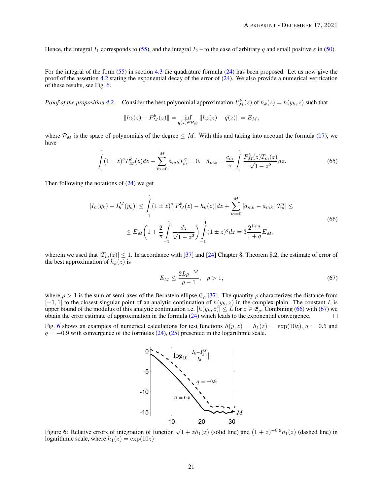Hence, the integral  $I_1$  corresponds to [\(55\)](#page-19-1), and the integral  $I_2$  – to the case of arbitrary q and small positive  $\varepsilon$  in [\(50\)](#page-18-0).

For the integral of the form [\(55\)](#page-19-1) in section [4.3](#page-8-2) the quadrature formula [\(24\)](#page-9-1) has been proposed. Let us now give the proof of the assertion [4.2](#page-9-2) stating the exponential decay of the error of  $(24)$ . We also provide a numerical verification of these results, see Fig. [6.](#page-20-0)

*Proof of the proposition* [4.2](#page-9-2). Consider the best polynomial approximation  $P_M^b(z)$  of  $h_k(z) = h(y_k, z)$  such that

$$
||h_k(z) - P_M^b(z)|| = \inf_{q(z) \in \mathcal{P}_M} ||h_k(z) - q(z)|| = E_M,
$$

where  $\mathcal{P}_M$  is the space of polynomials of the degree  $\leq M$ . With this and taking into account the formula [\(17\)](#page-5-1), we have

$$
\int_{-1}^{1} (1 \pm z)^{q} P_{M}^{b}(z) dz - \sum_{m=0}^{M} \tilde{a}_{mk} T_{m}^{q} = 0, \quad \tilde{a}_{mk} = \frac{c_{m}}{\pi} \int_{-1}^{1} \frac{P_{M}^{b}(z) T_{m}(z)}{\sqrt{1 - z^{2}}} dz.
$$
\n(65)

Then following the notations of  $(24)$  we get

<span id="page-20-1"></span>
$$
|I_h(y_k) - I_h^M(y_k)| \le \int_{-1}^1 (1 \pm z)^q |P_M^b(z) - h_k(z)| dz + \sum_{m=0}^M |\tilde{a}_{mk} - a_{mk}| |\mathcal{T}_m^q| \le
$$
  

$$
\le E_M \left(1 + \frac{2}{\pi} \int_{-1}^1 \frac{dz}{\sqrt{1 - z^2}} \right) \int_{-1}^1 (1 \pm z)^q dz = 3 \frac{2^{1+q}}{1+q} E_M,
$$
 (66)

wherein we used that  $|T_m(z)| \leq 1$ . In accordance with [\[37\]](#page-26-2) and [\[24\]](#page-25-15) Chapter 8, Theorem 8.2, the estimate of error of the best approximation of  $h_k(z)$  is

<span id="page-20-2"></span>
$$
E_M \le \frac{2L\rho^{-M}}{\rho - 1}, \quad \rho > 1,\tag{67}
$$

where  $\rho > 1$  is the sum of semi-axes of the Bernstein ellipse  $\mathfrak{E}_{\rho}$  [\[37\]](#page-26-2). The quantity  $\rho$  characterizes the distance from  $[-1, 1]$  to the closest singular point of an analytic continuation of  $h(y_k, z)$  in the complex plain. The constant L is upper bound of the modulus of this analytic continuation i.e.  $|h(y_k, z)| \leq L$  for  $z \in \mathfrak{E}_{\rho}$ . Combining [\(66\)](#page-20-1) with [\(67\)](#page-20-2) we obtain the error estimate of approximation in the formula [\(24\)](#page-9-1) which leads to the exponential convergence.  $\Box$ 

<span id="page-20-0"></span>Fig. [6](#page-20-0) shows an examples of numerical calculations for test functions  $h(y, z) = h_1(z) = \exp(10z)$ ,  $q = 0.5$  and  $q = -0.9$  with convergence of the formulas [\(24\)](#page-9-1), [\(25\)](#page-9-0) presented in the logarithmic scale.



Figure 6: Relative errors of integration of function  $\sqrt{1+z}h_1(z)$  (solid line) and  $(1+z)^{-0.9}h_1(z)$  (dashed line) in logarithmic scale, where  $h_1(z) = \exp(10z)$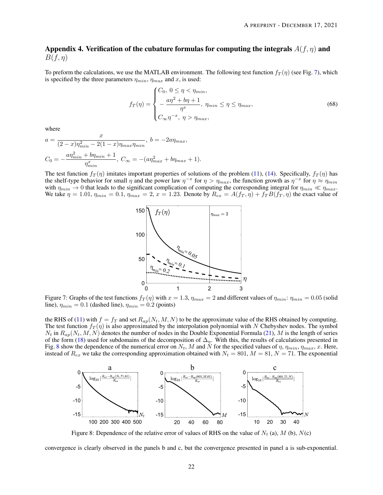# Appendix 4. Verification of the cubature formulas for computing the integrals  $A(f, \eta)$  and  $B(f, \eta)$

To preform the calculations, we use the MATLAB environment. The following test function  $f_T(\eta)$  (see Fig. [7\)](#page-21-0), which is specified by the three parameters  $\eta_{min}$ ,  $\eta_{max}$  and x, is used:

$$
f_T(\eta) = \begin{cases} C_0, & 0 \le \eta < \eta_{min}, \\ -\frac{a\eta^2 + b\eta + 1}{\eta^x}, & \eta_{min} \le \eta \le \eta_{max}, \\ C_\infty \eta^{-x}, & \eta > \eta_{max}, \end{cases} \tag{68}
$$

where

$$
a = \frac{x}{(2-x)\eta_{min}^2 - 2(1-x)\eta_{max}\eta_{min}}, \quad b = -2a\eta_{max},
$$
  

$$
C_0 = -\frac{a\eta_{min}^2 + b\eta_{min} + 1}{\eta_{min}^2}, \quad C_{\infty} = -(a\eta_{max}^2 + b\eta_{max} + 1).
$$

<span id="page-21-0"></span>The test function  $f_T(\eta)$  imitates important properties of solutions of the problem [\(11\)](#page-4-0), [\(14\)](#page-4-2). Specifically,  $f_T(\eta)$  has the shelf-type behavior for small  $\eta$  and the power law  $\eta^{-x}$  for  $\eta > \eta_{max}$ , the function growth as  $\eta^{-x}$  for  $\eta \approx \eta_{min}$ with  $\eta_{min} \to 0$  that leads to the significant complication of computing the corresponding integral for  $\eta_{min} \ll \eta_{max}$ . We take  $\eta = 1.01$ ,  $\eta_{min} = 0.1$ ,  $\eta_{max} = 2$ ,  $x = 1.23$ . Denote by  $R_{ex} = A(f_T, \eta) + f_T B(f_T, \eta)$  the exact value of



Figure 7: Graphs of the test functions  $f_T(\eta)$  with  $x = 1.3$ ,  $\eta_{max} = 2$  and different values of  $\eta_{min}$ :  $\eta_{min} = 0.05$  (solid line),  $\eta_{min} = 0.1$  (dashed line),  $\eta_{min} = 0.2$  (points)

the RHS of [\(11\)](#page-4-0) with  $f = f_T$  and set  $R_{ap}(N_t, M, N)$  to be the approximate value of the RHS obtained by computing. The test function  $f_T(\eta)$  is also approximated by the interpolation polynomial with N Chebyshev nodes. The symbol  $N_t$  in  $R_{ap}(N_t, M, N)$  denotes the number of nodes in the Double Exponential Formula [\(21\)](#page-8-0), M is the length of series of the form [\(18\)](#page-6-1) used for subdomains of the decomposition of  $\Delta_{\eta}$ . With this, the results of calculations presented in Fig. [8](#page-21-1) show the dependence of the numerical error on  $N_t$ , M and N for the specified values of  $\eta$ ,  $\eta_{min}$ ,  $\eta_{max}$ , x. Here, instead of  $R_{ex}$  we take the corresponding approximation obtained with  $N_t = 801$ ,  $M = 81$ ,  $N = 71$ . The exponential

<span id="page-21-1"></span>

Figure 8: Dependence of the relative error of values of RHS on the value of  $N_t$  (a),  $M$  (b),  $N(c)$ 

convergence is clearly observed in the panels b and c, but the convergence presented in panel a is sub-exponential.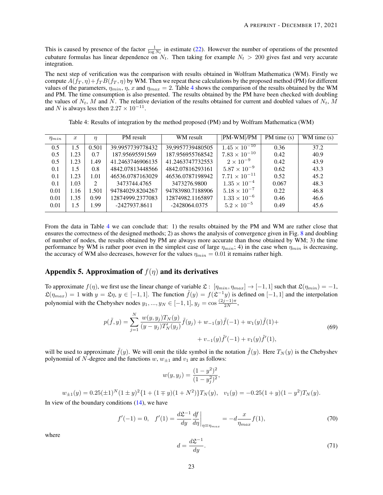This is caused by presence of the factor  $\frac{1}{\log N_t}$  in estimate [\(22\)](#page-8-3). However the number of operations of the presented cubature formulas has linear dependence on  $N_t$ . Then taking for example  $N_t > 200$  gives fast and very accurate integration.

The next step of verification was the comparison with results obtained in Wolfram Mathematica (WM). Firstly we compute  $A(f_T, \eta) + f_T B(f_T, \eta)$  by WM. Then we repeat these calculations by the proposed method (PM) for different values of the parameters,  $\eta_{min}$ ,  $\eta$ , x and  $\eta_{max} = 2$ . Table [4](#page-22-0) shows the comparison of the results obtained by the WM and PM. The time consumption is also presented. The results obtained by the PM have been checked with doubling the values of  $N_t$ , M and N. The relative deviation of the results obtained for current and doubled values of  $N_t$ , M and N is always less then  $2.27 \times 10^{-11}$ .

|  | Table 4: Results of integration by the method proposed (PM) and by Wolfram Mathematica (WM) |  |  |  |
|--|---------------------------------------------------------------------------------------------|--|--|--|
|  |                                                                                             |  |  |  |

<span id="page-22-0"></span>

| $\eta_{min}$ | $\boldsymbol{x}$ | η                     | PM result        | WM result        | PM-WM /PM              | $PM$ time $(s)$ | WM time $(s)$ |
|--------------|------------------|-----------------------|------------------|------------------|------------------------|-----------------|---------------|
| 0.5          | 1.5              | 0.501                 | 39.9957739778432 | 39,9957739480505 | $1.45 \times 10^{-10}$ | 0.36            | 37.2          |
| 0.5          | 1.23             | 0.7                   | 187.95695591569  | 187.956955768542 | $7.83 \times 10^{-10}$ | 0.42            | 40.9          |
| 0.5          | 1.23             | 1.49                  | 41.2463746906135 | 41.2463747732553 | $2 \times 10^{-9}$     | 0.42            | 43.9          |
| 0.1          | 1.5              | 0.8                   | 4842.07813448566 | 4842.07816293161 | $5.87 \times 10^{-9}$  | 0.62            | 43.3          |
| 0.1          | 1.23             | 1.01                  | 46536.0787163029 | 46536.0787198942 | $7.71 \times 10^{-11}$ | 0.52            | 45.2          |
| 0.1          | 1.03             | $\mathcal{D}_{\cdot}$ | 3473744.4765     | 3473276.9800     | $1.35 \times 10^{-4}$  | 0.067           | 48.3          |
| 0.01         | 1.16             | 1.501                 | 94784029.8204267 | 94783980.7188906 | $5.18 \times 10^{-7}$  | 0.22            | 46.8          |
| 0.01         | 1.35             | 0.99                  | 12874999.2377083 | 12874982.1165897 | $1.33 \times 10^{-6}$  | 0.46            | 46.6          |
| 0.01         | $1.5^{\circ}$    | 1.99                  | -2427937.8611    | -2428064.0375    | $5.2 \times 10^{-5}$   | 0.49            | 45.6          |

From the data in Table [4](#page-22-0) we can conclude that: 1) the results obtained by the PM and WM are rather close that ensures the correctness of the designed methods; 2) as shows the analysis of convergence given in Fig. [8](#page-21-1) and doubling of number of nodes, the results obtained by PM are always more accurate than those obtained by WM; 3) the time performance by WM is rather poor even in the simplest case of large  $\eta_{min}$ ; 4) in the case when  $\eta_{min}$  is decreasing, the accuracy of WM also decreases, however for the values  $\eta_{min} = 0.01$  it remains rather high.

# Appendix 5. Approximation of  $f(\eta)$  and its derivatives

To approximate  $f(\eta)$ , we first use the linear change of variable  $\mathfrak{L} : [\eta_{min}, \eta_{max}] \to [-1, 1]$  such that  $\mathfrak{L}(\eta_{min}) = -1$ ,  $\mathfrak{L}(\eta_{max}) = 1$  with  $y = \mathfrak{L}\eta$ ,  $y \in [-1, 1]$ . The function  $\tilde{f}(y) = f(\mathfrak{L}^{-1}y)$  is defined on  $[-1, 1]$  and the interpolation polynomial with the Chebyshev nodes  $y_1, ..., y_N \in [-1, 1], y_j = \cos \frac{(2j-1)\pi}{2N}$  $\frac{(n-1)\pi}{2N},$ 

$$
p(\tilde{f}, y) = \sum_{j=1}^{N} \frac{w(y, y_j) T_N(y)}{(y - y_j) T'_N(y_j)} \tilde{f}(y_j) + w_{-1}(y) \tilde{f}(-1) + w_1(y) \tilde{f}(1) + + v_{-1}(y) \tilde{f}'(-1) + v_1(y) \tilde{f}'(1),
$$
\n(69)

<span id="page-22-1"></span>will be used to approximate  $\tilde{f}(y)$ . We will omit the tilde symbol in the notation  $\tilde{f}(y)$ . Here  $T_N(y)$  is the Chebyshev polynomial of N-degree and the functions  $w$ ,  $w_{\pm 1}$  and  $v_1$  are as follows:

$$
w(y, y_j) = \frac{(1 - y^2)^2}{(1 - y_j^2)^2},
$$

 $w_{\pm 1}(y) = 0.25(\pm 1)^N (1 \pm y)^2 \{1 + (1 \mp y)(1 + N^2)\} T_N(y), \quad v_1(y) = -0.25(1 + y)(1 - y^2) T_N(y).$ 

In view of the boundary conditions  $(14)$ , we have

$$
f'(-1) = 0, \quad f'(1) = \frac{d\mathfrak{L}^{-1}}{dy} \frac{df}{d\eta}\bigg|_{\eta \equiv \eta_{max}} = -d\frac{x}{\eta_{max}}f(1),\tag{70}
$$

where

$$
d = \frac{d\mathfrak{L}^{-1}}{dy}.\tag{71}
$$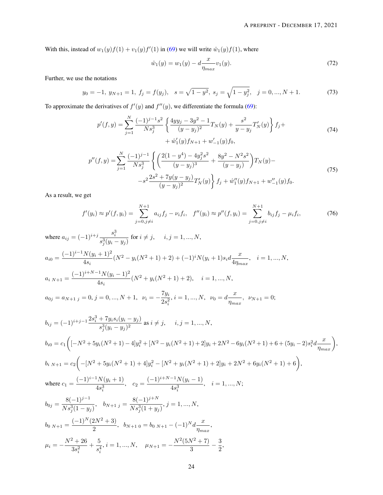With this, instead of  $w_1(y)f(1) + v_1(y)f'(1)$  in [\(69\)](#page-22-1) we will write  $\hat{w}_1(y)f(1)$ , where

$$
\hat{w}_1(y) = w_1(y) - d \frac{x}{\eta_{max}} v_1(y). \tag{72}
$$

Further, we use the notations

$$
y_0 = -1, y_{N+1} = 1, f_j = f(y_j), s = \sqrt{1 - y^2}, s_j = \sqrt{1 - y_j^2}, j = 0, ..., N + 1.
$$
 (73)

To approximate the derivatives of  $f'(y)$  and  $f''(y)$ , we differentiate the formula [\(69\)](#page-22-1):

$$
p'(f, y) = \sum_{j=1}^{N} \frac{(-1)^{j-1}s^2}{Ns_j^3} \left\{ \frac{4yy_j - 3y^2 - 1}{(y - y_j)^2} T_N(y) + \frac{s^2}{y - y_j} T'_N(y) \right\} f_j +
$$
  
 
$$
+ \hat{w}'_1(y) f_{N+1} + w'_{-1}(y) f_0,
$$
 (74)

$$
p''(f,y) = \sum_{j=1}^{N} \frac{(-1)^{j-1}}{Ns_j^3} \left\{ \left( \frac{2(1-y^4) - 4y_j^2 s^2}{(y-y_j)^3} + \frac{8y^2 - N^2 s^2}{(y-y_j)} \right) T_N(y) - s^2 \frac{2s^2 + 7y(y-y_j)}{(y-y_j)^2} T'_N(y) \right\} f_j + \hat{w}_1''(y) f_{N+1} + w_{-1}''(y) f_0.
$$
\n(75)

As a result, we get

<span id="page-23-0"></span>
$$
f'(y_i) \approx p'(f, y_i) = \sum_{j=0, j \neq i}^{N+1} a_{ij} f_j - \nu_i f_i, \quad f''(y_i) \approx p''(f, y_i) = \sum_{j=0, j \neq i}^{N+1} b_{ij} f_j - \mu_i f_i,
$$
 (76)

where 
$$
a_{ij} = (-1)^{i+j} \frac{s_i^3}{s_j^3(y_i - y_j)}
$$
 for  $i \neq j$ ,  $i, j = 1, ..., N$ ,  
\n
$$
a_{i0} = \frac{(-1)^{i-1}N(y_i + 1)^2}{4s_i}(N^2 - y_i(N^2 + 1) + 2) + (-1)^i N(y_i + 1)s_i d \frac{x}{4\eta_{max}}, \quad i = 1, ..., N,
$$
\n
$$
a_{i,N+1} = \frac{(-1)^{i+N-1}N(y_i - 1)^2}{4s_i}(N^2 + y_i(N^2 + 1) + 2), \quad i = 1, ..., N,
$$
\n
$$
a_{0j} = a_{N+1,j} = 0, j = 0, ..., N+1, \quad \nu_i = -\frac{7y_i}{2s_i^2}, i = 1, ..., N, \quad \nu_0 = d\frac{x}{\eta_{max}}, \quad \nu_{N+1} = 0;
$$
\n
$$
b_{ij} = (-1)^{i+j-1} \frac{2s_i^3 + 7y_i s_i(y_i - y_j)}{s_j^3(y_i - y_j)^2} \text{ as } i \neq j, \quad i, j = 1, ..., N,
$$
\n
$$
b_{i0} = c_1 \left( [-N^2 + 5y_i(N^2 + 1) - 4]y_i^2 + [N^2 - y_i(N^2 + 1) + 2]y_i + 2N^2 - 6y_i(N^2 + 1) + 6 + (5y_i - 2)s_i^2 d \frac{x}{\eta_{max}} \right),
$$
\n
$$
b_i \, N_{i+1} = c_2 \left( -[N^2 + 5y_i(N^2 + 1) + 4]y_i^2 - [N^2 + y_i(N^2 + 1) + 2]y_i + 2N^2 + 6y_i(N^2 + 1) + 6 \right),
$$
\nwhere 
$$
c_1 = \frac{(-1)^{i-1}N(y_i + 1)}{4s_i^3}, \quad c_2 = \frac{(-1)^{i+N-1}N(y_i - 1)}{4s_i^3}, \quad i = 1, ..., N;
$$
\n
$$
b_{0j} = \frac{8(-1)^{j-1}}{Ns_j^3(1 - y_j)}, \quad b_{N+1,j} = \frac{8(-1)^{j+N}}{Ns_j^3(1 + y_j)}, j = 1, ..., N,
$$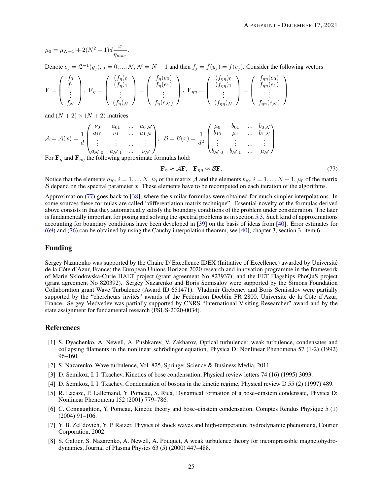$$
\mu_0 = \mu_{N+1} + 2(N^2 + 1)d\frac{x}{\eta_{max}}.
$$

Denote  $e_j = \mathfrak{L}^{-1}(y_j)$ ,  $j = 0, ..., \mathcal{N}, \mathcal{N} = N + 1$  and then  $f_j = \tilde{f}(y_j) = f(e_j)$ . Consider the following vectors

$$
\mathbf{F} = \begin{pmatrix} f_0 \\ f_1 \\ \vdots \\ f_N \end{pmatrix}, \ \mathbf{F}_{\eta} = \begin{pmatrix} (f_{\eta})_0 \\ (f_{\eta})_1 \\ \vdots \\ (f_{\eta})_N \end{pmatrix} = \begin{pmatrix} f_{\eta}(e_0) \\ f_{\eta}(e_1) \\ \vdots \\ f_{\eta}(e_N) \end{pmatrix}, \ \mathbf{F}_{\eta\eta} = \begin{pmatrix} (f_{\eta\eta})_0 \\ (f_{\eta\eta})_1 \\ \vdots \\ (f_{\eta\eta})_N \end{pmatrix} = \begin{pmatrix} f_{\eta\eta}(e_0) \\ f_{\eta\eta}(e_1) \\ \vdots \\ f_{\eta\eta}(e_N) \end{pmatrix}
$$

and  $(N + 2) \times (N + 2)$  matrices

$$
\mathcal{A} = \mathcal{A}(x) = \frac{1}{d} \begin{pmatrix} \nu_0 & a_{01} & \dots & a_{0 \ N} \\ a_{10} & \nu_1 & \dots & a_{1 \ N} \\ \vdots & \vdots & \dots & \vdots \\ a_{N \ 0} & a_{N \ 1} & \dots & \nu_N \end{pmatrix}, \quad \mathcal{B} = \mathcal{B}(x) = \frac{1}{d^2} \begin{pmatrix} \mu_0 & b_{01} & \dots & b_{0 \ N} \\ b_{10} & \mu_1 & \dots & b_{1 \ N} \\ \vdots & \vdots & \dots & \vdots \\ b_{N \ 0} & b_{N \ 1} & \dots & \mu_N \end{pmatrix}.
$$

For  $\mathbf{F}_n$  and  $\mathbf{F}_{n}$  the following approximate formulas hold:

<span id="page-24-8"></span>
$$
\mathbf{F}_{\eta} \approx \mathcal{A}\mathbf{F}, \quad \mathbf{F}_{\eta\eta} \approx \mathcal{B}\mathbf{F}.\tag{77}
$$

Notice that the elements  $a_{i0}$ ,  $i = 1, ..., N$ ,  $\nu_0$  of the matrix A and the elements  $b_{i0}$ ,  $i = 1, ..., N + 1$ ,  $\mu_0$  of the matrix  $\beta$  depend on the spectral parameter x. These elements have to be recomputed on each iteration of the algorithms.

Approximation [\(77\)](#page-24-8) goes back to [\[38\]](#page-26-3), where the similar formulas were obtained for much simpler interpolations. In some sources these formulas are called "differentiation matrix technique". Essential novelty of the formulas derived above consists in that they automatically satisfy the boundary conditions of the problem under consideration. The later is fundamentally important for posing and solving the spectral problems as in section [5.3.](#page-11-3) Such kind of approximations accounting for boundary conditions have been developed in [\[39\]](#page-26-4) on the basis of ideas from [\[40\]](#page-26-5). Error estimates for [\(69\)](#page-22-1) and [\(76\)](#page-23-0) can be obtained by using the Cauchy interpolation theorem, see [\[40\]](#page-26-5), chapter 3, section 3, item 6.

### Funding

Sergey Nazarenko was supported by the Chaire D'Excellence IDEX (Initiative of Excellence) awarded by Universite´ de la Côte d'Azur, France; the European Unions Horizon 2020 research and innovation programme in the framework of Marie Sklodowska-Curie HALT project (grant agreement No 823937); and the FET Flagships PhoQuS project (grant agreement No 820392). Sergey Nazarenko and Boris Semisalov were supported by the Simons Foundation Collaboration grant Wave Turbulence (Award ID 651471). Vladimir Grebenev and Boris Semisalov were partially supported by the "chercheurs invités" awards of the Fédération Doeblin FR 2800, Université de la Côte d'Azur, France. Sergey Medvedev was partially supported by CNRS "International Visiting Researcher" award and by the state assignment for fundamental research (FSUS-2020-0034).

### References

- <span id="page-24-0"></span>[1] S. Dyachenko, A. Newell, A. Pushkarev, V. Zakharov, Optical turbulence: weak turbulence, condensates and collapsing filaments in the nonlinear schrödinger equation, Physica D: Nonlinear Phenomena 57 (1-2) (1992) 96–160.
- <span id="page-24-1"></span>[2] S. Nazarenko, Wave turbulence, Vol. 825, Springer Science & Business Media, 2011.
- <span id="page-24-2"></span>[3] D. Semikoz, I. I. Tkachev, Kinetics of bose condensation, Physical review letters 74 (16) (1995) 3093.
- <span id="page-24-3"></span>[4] D. Semikoz, I. I. Tkachev, Condensation of bosons in the kinetic regime, Physical review D 55 (2) (1997) 489.
- <span id="page-24-4"></span>[5] R. Lacaze, P. Lallemand, Y. Pomeau, S. Rica, Dynamical formation of a bose–einstein condensate, Physica D: Nonlinear Phenomena 152 (2001) 779–786.
- <span id="page-24-5"></span>[6] C. Connaughton, Y. Pomeau, Kinetic theory and bose–einstein condensation, Comptes Rendus Physique 5 (1) (2004) 91–106.
- <span id="page-24-6"></span>[7] Y. B. Zel'dovich, Y. P. Raizer, Physics of shock waves and high-temperature hydrodynamic phenomena, Courier Corporation, 2002.
- <span id="page-24-7"></span>[8] S. Galtier, S. Nazarenko, A. Newell, A. Pouquet, A weak turbulence theory for incompressible magnetohydrodynamics, Journal of Plasma Physics 63 (5) (2000) 447–488.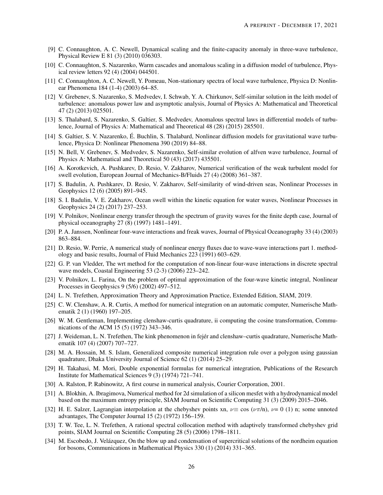- <span id="page-25-0"></span>[9] C. Connaughton, A. C. Newell, Dynamical scaling and the finite-capacity anomaly in three-wave turbulence, Physical Review E 81 (3) (2010) 036303.
- <span id="page-25-1"></span>[10] C. Connaughton, S. Nazarenko, Warm cascades and anomalous scaling in a diffusion model of turbulence, Physical review letters 92 (4) (2004) 044501.
- <span id="page-25-2"></span>[11] C. Connaughton, A. C. Newell, Y. Pomeau, Non-stationary spectra of local wave turbulence, Physica D: Nonlinear Phenomena 184 (1-4) (2003) 64–85.
- <span id="page-25-3"></span>[12] V. Grebenev, S. Nazarenko, S. Medvedev, I. Schwab, Y. A. Chirkunov, Self-similar solution in the leith model of turbulence: anomalous power law and asymptotic analysis, Journal of Physics A: Mathematical and Theoretical 47 (2) (2013) 025501.
- <span id="page-25-4"></span>[13] S. Thalabard, S. Nazarenko, S. Galtier, S. Medvedev, Anomalous spectral laws in differential models of turbulence, Journal of Physics A: Mathematical and Theoretical 48 (28) (2015) 285501.
- <span id="page-25-5"></span>[14] S. Galtier, S. V. Nazarenko, E. Buchlin, S. Thalabard, Nonlinear diffusion models for gravitational wave turbu- ´ lence, Physica D: Nonlinear Phenomena 390 (2019) 84–88.
- <span id="page-25-6"></span>[15] N. Bell, V. Grebenev, S. Medvedev, S. Nazarenko, Self-similar evolution of alfven wave turbulence, Journal of Physics A: Mathematical and Theoretical 50 (43) (2017) 435501.
- <span id="page-25-7"></span>[16] A. Korotkevich, A. Pushkarev, D. Resio, V. Zakharov, Numerical verification of the weak turbulent model for swell evolution, European Journal of Mechanics-B/Fluids 27 (4) (2008) 361–387.
- <span id="page-25-8"></span>[17] S. Badulin, A. Pushkarev, D. Resio, V. Zakharov, Self-similarity of wind-driven seas, Nonlinear Processes in Geophysics 12 (6) (2005) 891–945.
- <span id="page-25-9"></span>[18] S. I. Badulin, V. E. Zakharov, Ocean swell within the kinetic equation for water waves, Nonlinear Processes in Geophysics 24 (2) (2017) 237–253.
- <span id="page-25-10"></span>[19] V. Polnikov, Nonlinear energy transfer through the spectrum of gravity waves for the finite depth case, Journal of physical oceanography 27 (8) (1997) 1481–1491.
- <span id="page-25-11"></span>[20] P. A. Janssen, Nonlinear four-wave interactions and freak waves, Journal of Physical Oceanography 33 (4) (2003) 863–884.
- <span id="page-25-12"></span>[21] D. Resio, W. Perrie, A numerical study of nonlinear energy fluxes due to wave-wave interactions part 1. methodology and basic results, Journal of Fluid Mechanics 223 (1991) 603–629.
- <span id="page-25-13"></span>[22] G. P. van Vledder, The wrt method for the computation of non-linear four-wave interactions in discrete spectral wave models, Coastal Engineering 53 (2-3) (2006) 223–242.
- <span id="page-25-14"></span>[23] V. Polnikov, L. Farina, On the problem of optimal approximation of the four-wave kinetic integral, Nonlinear Processes in Geophysics 9 (5/6) (2002) 497–512.
- <span id="page-25-15"></span>[24] L. N. Trefethen, Approximation Theory and Approximation Practice, Extended Edition, SIAM, 2019.
- <span id="page-25-16"></span>[25] C. W. Clenshaw, A. R. Curtis, A method for numerical integration on an automatic computer, Numerische Mathematik 2 (1) (1960) 197–205.
- <span id="page-25-17"></span>[26] W. M. Gentleman, Implementing clenshaw-curtis quadrature, ii computing the cosine transformation, Communications of the ACM 15 (5) (1972) 343–346.
- <span id="page-25-18"></span>[27] J. Weideman, L. N. Trefethen, The kink phenomenon in fejer and clenshaw–curtis quadrature, Numerische Math- ´ ematik 107 (4) (2007) 707–727.
- <span id="page-25-19"></span>[28] M. A. Hossain, M. S. Islam, Generalized composite numerical integration rule over a polygon using gaussian quadrature, Dhaka University Journal of Science 62 (1) (2014) 25–29.
- <span id="page-25-20"></span>[29] H. Takahasi, M. Mori, Double exponential formulas for numerical integration, Publications of the Research Institute for Mathematical Sciences 9 (3) (1974) 721–741.
- <span id="page-25-21"></span>[30] A. Ralston, P. Rabinowitz, A first course in numerical analysis, Courier Corporation, 2001.
- <span id="page-25-22"></span>[31] A. Blokhin, A. Ibragimova, Numerical method for 2d simulation of a silicon mesfet with a hydrodynamical model based on the maximum entropy principle, SIAM Journal on Scientific Computing 31 (3) (2009) 2015–2046.
- <span id="page-25-23"></span>[32] H. E. Salzer, Lagrangian interpolation at the chebyshev points xn,  $\nu \equiv \cos (\nu \pi/n)$ ,  $\nu = 0$  (1) n; some unnoted advantages, The Computer Journal 15 (2) (1972) 156–159.
- <span id="page-25-24"></span>[33] T. W. Tee, L. N. Trefethen, A rational spectral collocation method with adaptively transformed chebyshev grid points, SIAM Journal on Scientific Computing 28 (5) (2006) 1798–1811.
- <span id="page-25-25"></span>[34] M. Escobedo, J. Velázquez, On the blow up and condensation of supercritical solutions of the nordheim equation for bosons, Communications in Mathematical Physics 330 (1) (2014) 331–365.